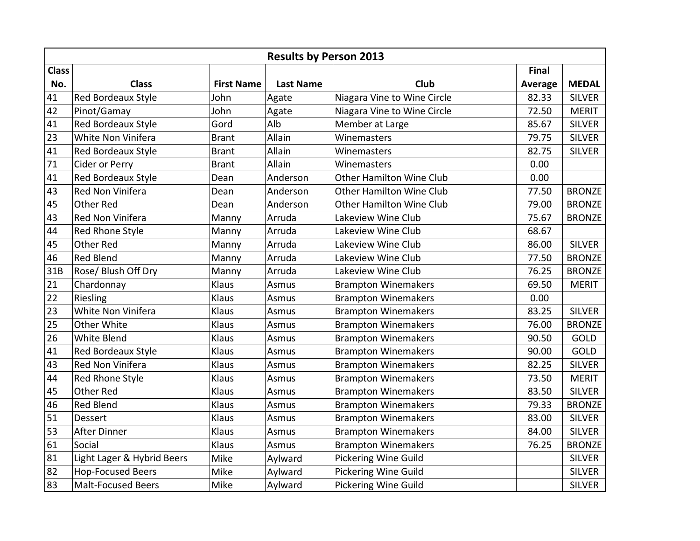|              |                            |                   | <b>Results by Person 2013</b> |                                 |         |               |
|--------------|----------------------------|-------------------|-------------------------------|---------------------------------|---------|---------------|
| <b>Class</b> |                            |                   |                               |                                 | Final   |               |
| No.          | <b>Class</b>               | <b>First Name</b> | <b>Last Name</b>              | Club                            | Average | <b>MEDAL</b>  |
| 41           | Red Bordeaux Style         | John              | Agate                         | Niagara Vine to Wine Circle     | 82.33   | <b>SILVER</b> |
| 42           | Pinot/Gamay                | John              | Agate                         | Niagara Vine to Wine Circle     | 72.50   | <b>MERIT</b>  |
| 41           | Red Bordeaux Style         | Gord              | Alb                           | Member at Large                 | 85.67   | <b>SILVER</b> |
| 23           | White Non Vinifera         | <b>Brant</b>      | Allain                        | Winemasters                     | 79.75   | <b>SILVER</b> |
| 41           | Red Bordeaux Style         | <b>Brant</b>      | Allain                        | Winemasters                     | 82.75   | <b>SILVER</b> |
| 71           | Cider or Perry             | <b>Brant</b>      | Allain                        | Winemasters                     | 0.00    |               |
| 41           | Red Bordeaux Style         | Dean              | Anderson                      | <b>Other Hamilton Wine Club</b> | 0.00    |               |
| 43           | Red Non Vinifera           | Dean              | Anderson                      | <b>Other Hamilton Wine Club</b> | 77.50   | <b>BRONZE</b> |
| 45           | Other Red                  | Dean              | Anderson                      | <b>Other Hamilton Wine Club</b> | 79.00   | <b>BRONZE</b> |
| 43           | Red Non Vinifera           | Manny             | Arruda                        | Lakeview Wine Club              | 75.67   | <b>BRONZE</b> |
| 44           | Red Rhone Style            | Manny             | Arruda                        | Lakeview Wine Club              | 68.67   |               |
| 45           | <b>Other Red</b>           | Manny             | Arruda                        | Lakeview Wine Club              | 86.00   | <b>SILVER</b> |
| 46           | <b>Red Blend</b>           | Manny             | Arruda                        | Lakeview Wine Club              | 77.50   | <b>BRONZE</b> |
| 31B          | Rose/ Blush Off Dry        | Manny             | Arruda                        | Lakeview Wine Club              | 76.25   | <b>BRONZE</b> |
| 21           | Chardonnay                 | Klaus             | Asmus                         | <b>Brampton Winemakers</b>      | 69.50   | <b>MERIT</b>  |
| 22           | Riesling                   | Klaus             | Asmus                         | <b>Brampton Winemakers</b>      | 0.00    |               |
| 23           | White Non Vinifera         | Klaus             | Asmus                         | <b>Brampton Winemakers</b>      | 83.25   | <b>SILVER</b> |
| 25           | Other White                | Klaus             | Asmus                         | <b>Brampton Winemakers</b>      | 76.00   | <b>BRONZE</b> |
| 26           | White Blend                | Klaus             | Asmus                         | <b>Brampton Winemakers</b>      | 90.50   | GOLD          |
| 41           | <b>Red Bordeaux Style</b>  | Klaus             | Asmus                         | <b>Brampton Winemakers</b>      | 90.00   | GOLD          |
| 43           | <b>Red Non Vinifera</b>    | Klaus             | Asmus                         | <b>Brampton Winemakers</b>      | 82.25   | <b>SILVER</b> |
| 44           | Red Rhone Style            | Klaus             | Asmus                         | <b>Brampton Winemakers</b>      | 73.50   | <b>MERIT</b>  |
| 45           | Other Red                  | Klaus             | Asmus                         | <b>Brampton Winemakers</b>      | 83.50   | <b>SILVER</b> |
| 46           | Red Blend                  | Klaus             | Asmus                         | <b>Brampton Winemakers</b>      | 79.33   | <b>BRONZE</b> |
| 51           | <b>Dessert</b>             | Klaus             | Asmus                         | <b>Brampton Winemakers</b>      | 83.00   | <b>SILVER</b> |
| 53           | <b>After Dinner</b>        | Klaus             | Asmus                         | <b>Brampton Winemakers</b>      | 84.00   | <b>SILVER</b> |
| 61           | Social                     | Klaus             | Asmus                         | <b>Brampton Winemakers</b>      | 76.25   | <b>BRONZE</b> |
| 81           | Light Lager & Hybrid Beers | Mike              | Aylward                       | <b>Pickering Wine Guild</b>     |         | <b>SILVER</b> |
| 82           | <b>Hop-Focused Beers</b>   | Mike              | Aylward                       | Pickering Wine Guild            |         | <b>SILVER</b> |
| 83           | <b>Malt-Focused Beers</b>  | Mike              | Aylward                       | <b>Pickering Wine Guild</b>     |         | <b>SILVER</b> |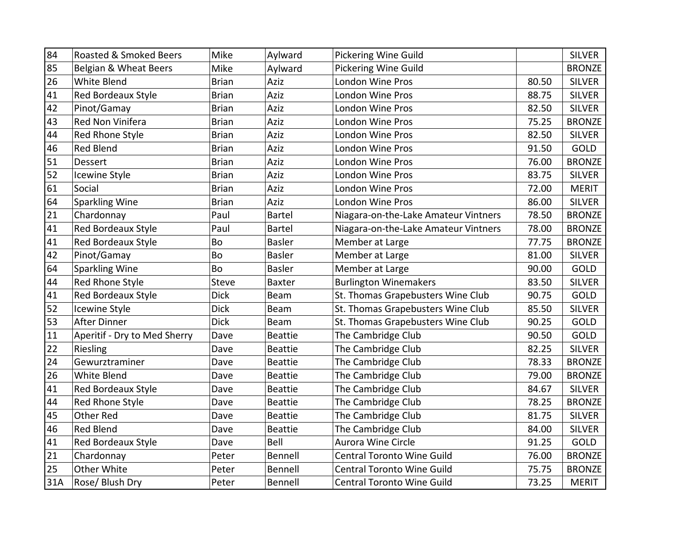| 84  | Roasted & Smoked Beers       | Mike         | Aylward        | <b>Pickering Wine Guild</b>          |       | <b>SILVER</b> |
|-----|------------------------------|--------------|----------------|--------------------------------------|-------|---------------|
| 85  | Belgian & Wheat Beers        | Mike         | Aylward        | <b>Pickering Wine Guild</b>          |       | <b>BRONZE</b> |
| 26  | White Blend                  | <b>Brian</b> | Aziz           | London Wine Pros                     | 80.50 | <b>SILVER</b> |
| 41  | Red Bordeaux Style           | <b>Brian</b> | Aziz           | London Wine Pros                     | 88.75 | <b>SILVER</b> |
| 42  | Pinot/Gamay                  | <b>Brian</b> | Aziz           | London Wine Pros                     | 82.50 | <b>SILVER</b> |
| 43  | Red Non Vinifera             | <b>Brian</b> | Aziz           | London Wine Pros                     | 75.25 | <b>BRONZE</b> |
| 44  | Red Rhone Style              | <b>Brian</b> | Aziz           | <b>London Wine Pros</b>              | 82.50 | <b>SILVER</b> |
| 46  | <b>Red Blend</b>             | <b>Brian</b> | Aziz           | <b>London Wine Pros</b>              | 91.50 | GOLD          |
| 51  | Dessert                      | <b>Brian</b> | Aziz           | London Wine Pros                     | 76.00 | <b>BRONZE</b> |
| 52  | <b>Icewine Style</b>         | <b>Brian</b> | Aziz           | London Wine Pros                     | 83.75 | <b>SILVER</b> |
| 61  | Social                       | <b>Brian</b> | Aziz           | <b>London Wine Pros</b>              | 72.00 | <b>MERIT</b>  |
| 64  | <b>Sparkling Wine</b>        | <b>Brian</b> | Aziz           | <b>London Wine Pros</b>              | 86.00 | <b>SILVER</b> |
| 21  | Chardonnay                   | Paul         | Bartel         | Niagara-on-the-Lake Amateur Vintners | 78.50 | <b>BRONZE</b> |
| 41  | Red Bordeaux Style           | Paul         | <b>Bartel</b>  | Niagara-on-the-Lake Amateur Vintners | 78.00 | <b>BRONZE</b> |
| 41  | Red Bordeaux Style           | <b>Bo</b>    | <b>Basler</b>  | Member at Large                      | 77.75 | <b>BRONZE</b> |
| 42  | Pinot/Gamay                  | Bo           | <b>Basler</b>  | Member at Large                      | 81.00 | <b>SILVER</b> |
| 64  | Sparkling Wine               | Bo           | <b>Basler</b>  | Member at Large                      | 90.00 | GOLD          |
| 44  | Red Rhone Style              | <b>Steve</b> | <b>Baxter</b>  | <b>Burlington Winemakers</b>         | 83.50 | <b>SILVER</b> |
| 41  | Red Bordeaux Style           | <b>Dick</b>  | Beam           | St. Thomas Grapebusters Wine Club    | 90.75 | GOLD          |
| 52  | Icewine Style                | <b>Dick</b>  | Beam           | St. Thomas Grapebusters Wine Club    | 85.50 | <b>SILVER</b> |
| 53  | After Dinner                 | <b>Dick</b>  | Beam           | St. Thomas Grapebusters Wine Club    | 90.25 | GOLD          |
| 11  | Aperitif - Dry to Med Sherry | Dave         | <b>Beattie</b> | The Cambridge Club                   | 90.50 | GOLD          |
| 22  | Riesling                     | Dave         | <b>Beattie</b> | The Cambridge Club                   | 82.25 | <b>SILVER</b> |
| 24  | Gewurztraminer               | Dave         | <b>Beattie</b> | The Cambridge Club                   | 78.33 | <b>BRONZE</b> |
| 26  | White Blend                  | Dave         | <b>Beattie</b> | The Cambridge Club                   | 79.00 | <b>BRONZE</b> |
| 41  | Red Bordeaux Style           | Dave         | <b>Beattie</b> | The Cambridge Club                   | 84.67 | <b>SILVER</b> |
| 44  | Red Rhone Style              | Dave         | <b>Beattie</b> | The Cambridge Club                   | 78.25 | <b>BRONZE</b> |
| 45  | <b>Other Red</b>             | Dave         | <b>Beattie</b> | The Cambridge Club                   | 81.75 | <b>SILVER</b> |
| 46  | <b>Red Blend</b>             | Dave         | <b>Beattie</b> | The Cambridge Club                   | 84.00 | <b>SILVER</b> |
| 41  | Red Bordeaux Style           | Dave         | Bell           | <b>Aurora Wine Circle</b>            | 91.25 | GOLD          |
| 21  | Chardonnay                   | Peter        | Bennell        | Central Toronto Wine Guild           | 76.00 | <b>BRONZE</b> |
| 25  | Other White                  | Peter        | Bennell        | <b>Central Toronto Wine Guild</b>    | 75.75 | <b>BRONZE</b> |
| 31A | Rose/ Blush Dry              | Peter        | Bennell        | <b>Central Toronto Wine Guild</b>    | 73.25 | <b>MERIT</b>  |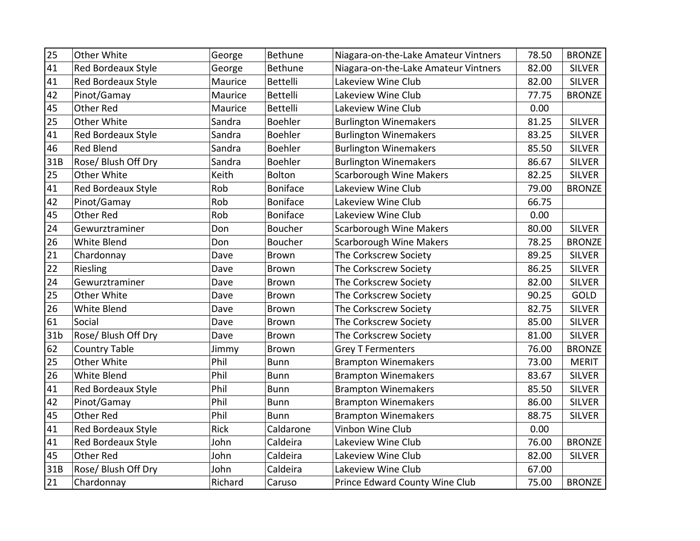| 25              | Other White               | George      | Bethune         | Niagara-on-the-Lake Amateur Vintners | 78.50 | <b>BRONZE</b> |
|-----------------|---------------------------|-------------|-----------------|--------------------------------------|-------|---------------|
| 41              | Red Bordeaux Style        | George      | Bethune         | Niagara-on-the-Lake Amateur Vintners | 82.00 | <b>SILVER</b> |
| 41              | Red Bordeaux Style        | Maurice     | Bettelli        | Lakeview Wine Club                   | 82.00 | <b>SILVER</b> |
| 42              | Pinot/Gamay               | Maurice     | <b>Bettelli</b> | Lakeview Wine Club                   | 77.75 | <b>BRONZE</b> |
| 45              | <b>Other Red</b>          | Maurice     | <b>Bettelli</b> | Lakeview Wine Club                   | 0.00  |               |
| 25              | Other White               | Sandra      | Boehler         | <b>Burlington Winemakers</b>         | 81.25 | <b>SILVER</b> |
| 41              | <b>Red Bordeaux Style</b> | Sandra      | Boehler         | <b>Burlington Winemakers</b>         | 83.25 | <b>SILVER</b> |
| 46              | <b>Red Blend</b>          | Sandra      | Boehler         | <b>Burlington Winemakers</b>         | 85.50 | <b>SILVER</b> |
| 31B             | Rose/ Blush Off Dry       | Sandra      | <b>Boehler</b>  | <b>Burlington Winemakers</b>         | 86.67 | <b>SILVER</b> |
| 25              | Other White               | Keith       | Bolton          | <b>Scarborough Wine Makers</b>       | 82.25 | <b>SILVER</b> |
| 41              | Red Bordeaux Style        | Rob         | <b>Boniface</b> | Lakeview Wine Club                   | 79.00 | <b>BRONZE</b> |
| 42              | Pinot/Gamay               | Rob         | <b>Boniface</b> | Lakeview Wine Club                   | 66.75 |               |
| 45              | <b>Other Red</b>          | Rob         | <b>Boniface</b> | Lakeview Wine Club                   | 0.00  |               |
| 24              | Gewurztraminer            | Don         | <b>Boucher</b>  | Scarborough Wine Makers              | 80.00 | <b>SILVER</b> |
| 26              | White Blend               | Don         | Boucher         | <b>Scarborough Wine Makers</b>       | 78.25 | <b>BRONZE</b> |
| 21              | Chardonnay                | Dave        | <b>Brown</b>    | The Corkscrew Society                | 89.25 | <b>SILVER</b> |
| 22              | Riesling                  | Dave        | <b>Brown</b>    | The Corkscrew Society                | 86.25 | <b>SILVER</b> |
| 24              | Gewurztraminer            | Dave        | Brown           | The Corkscrew Society                | 82.00 | <b>SILVER</b> |
| 25              | Other White               | Dave        | Brown           | The Corkscrew Society                | 90.25 | GOLD          |
| 26              | White Blend               | Dave        | <b>Brown</b>    | The Corkscrew Society                | 82.75 | <b>SILVER</b> |
| 61              | Social                    | Dave        | <b>Brown</b>    | The Corkscrew Society                | 85.00 | <b>SILVER</b> |
| 31 <sub>b</sub> | Rose/ Blush Off Dry       | Dave        | <b>Brown</b>    | The Corkscrew Society                | 81.00 | <b>SILVER</b> |
| 62              | <b>Country Table</b>      | Jimmy       | Brown           | <b>Grey T Fermenters</b>             | 76.00 | <b>BRONZE</b> |
| 25              | Other White               | Phil        | <b>Bunn</b>     | <b>Brampton Winemakers</b>           | 73.00 | <b>MERIT</b>  |
| 26              | White Blend               | Phil        | <b>Bunn</b>     | <b>Brampton Winemakers</b>           | 83.67 | <b>SILVER</b> |
| 41              | Red Bordeaux Style        | Phil        | <b>Bunn</b>     | <b>Brampton Winemakers</b>           | 85.50 | <b>SILVER</b> |
| 42              | Pinot/Gamay               | Phil        | Bunn            | <b>Brampton Winemakers</b>           | 86.00 | <b>SILVER</b> |
| 45              | Other Red                 | Phil        | <b>Bunn</b>     | <b>Brampton Winemakers</b>           | 88.75 | <b>SILVER</b> |
| 41              | Red Bordeaux Style        | <b>Rick</b> | Caldarone       | Vinbon Wine Club                     | 0.00  |               |
| 41              | <b>Red Bordeaux Style</b> | John        | Caldeira        | Lakeview Wine Club                   | 76.00 | <b>BRONZE</b> |
| 45              | Other Red                 | John        | Caldeira        | Lakeview Wine Club                   | 82.00 | <b>SILVER</b> |
| 31B             | Rose/ Blush Off Dry       | John        | Caldeira        | Lakeview Wine Club                   | 67.00 |               |
| 21              | Chardonnay                | Richard     | Caruso          | Prince Edward County Wine Club       | 75.00 | <b>BRONZE</b> |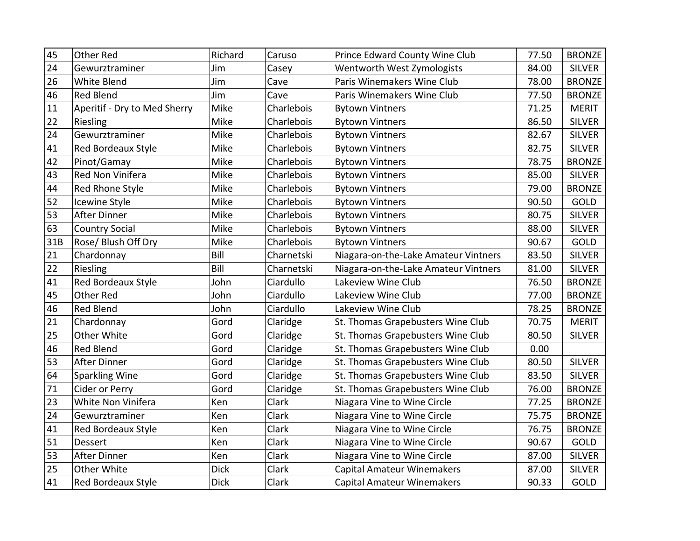| 45  | <b>Other Red</b>             | Richard     | Caruso     | Prince Edward County Wine Club       | 77.50 | <b>BRONZE</b> |
|-----|------------------------------|-------------|------------|--------------------------------------|-------|---------------|
| 24  | Gewurztraminer               | Jim         | Casey      | Wentworth West Zymologists           | 84.00 | <b>SILVER</b> |
| 26  | <b>White Blend</b>           | Jim         | Cave       | Paris Winemakers Wine Club           | 78.00 | <b>BRONZE</b> |
| 46  | <b>Red Blend</b>             | Jim         | Cave       | Paris Winemakers Wine Club           | 77.50 | <b>BRONZE</b> |
| 11  | Aperitif - Dry to Med Sherry | Mike        | Charlebois | <b>Bytown Vintners</b>               | 71.25 | <b>MERIT</b>  |
| 22  | Riesling                     | Mike        | Charlebois | <b>Bytown Vintners</b>               | 86.50 | <b>SILVER</b> |
| 24  | Gewurztraminer               | Mike        | Charlebois | <b>Bytown Vintners</b>               | 82.67 | <b>SILVER</b> |
| 41  | Red Bordeaux Style           | Mike        | Charlebois | <b>Bytown Vintners</b>               | 82.75 | <b>SILVER</b> |
| 42  | Pinot/Gamay                  | Mike        | Charlebois | <b>Bytown Vintners</b>               | 78.75 | <b>BRONZE</b> |
| 43  | Red Non Vinifera             | Mike        | Charlebois | <b>Bytown Vintners</b>               | 85.00 | <b>SILVER</b> |
| 44  | Red Rhone Style              | Mike        | Charlebois | <b>Bytown Vintners</b>               | 79.00 | <b>BRONZE</b> |
| 52  | Icewine Style                | Mike        | Charlebois | <b>Bytown Vintners</b>               | 90.50 | GOLD          |
| 53  | <b>After Dinner</b>          | Mike        | Charlebois | <b>Bytown Vintners</b>               | 80.75 | <b>SILVER</b> |
| 63  | <b>Country Social</b>        | Mike        | Charlebois | <b>Bytown Vintners</b>               | 88.00 | <b>SILVER</b> |
| 31B | Rose/ Blush Off Dry          | Mike        | Charlebois | <b>Bytown Vintners</b>               | 90.67 | GOLD          |
| 21  | Chardonnay                   | Bill        | Charnetski | Niagara-on-the-Lake Amateur Vintners | 83.50 | <b>SILVER</b> |
| 22  | Riesling                     | Bill        | Charnetski | Niagara-on-the-Lake Amateur Vintners | 81.00 | <b>SILVER</b> |
| 41  | <b>Red Bordeaux Style</b>    | John        | Ciardullo  | Lakeview Wine Club                   | 76.50 | <b>BRONZE</b> |
| 45  | <b>Other Red</b>             | John        | Ciardullo  | Lakeview Wine Club                   | 77.00 | <b>BRONZE</b> |
| 46  | Red Blend                    | John        | Ciardullo  | Lakeview Wine Club                   | 78.25 | <b>BRONZE</b> |
| 21  | Chardonnay                   | Gord        | Claridge   | St. Thomas Grapebusters Wine Club    | 70.75 | <b>MERIT</b>  |
| 25  | Other White                  | Gord        | Claridge   | St. Thomas Grapebusters Wine Club    | 80.50 | <b>SILVER</b> |
| 46  | <b>Red Blend</b>             | Gord        | Claridge   | St. Thomas Grapebusters Wine Club    | 0.00  |               |
| 53  | After Dinner                 | Gord        | Claridge   | St. Thomas Grapebusters Wine Club    | 80.50 | <b>SILVER</b> |
| 64  | <b>Sparkling Wine</b>        | Gord        | Claridge   | St. Thomas Grapebusters Wine Club    | 83.50 | <b>SILVER</b> |
| 71  | Cider or Perry               | Gord        | Claridge   | St. Thomas Grapebusters Wine Club    | 76.00 | <b>BRONZE</b> |
| 23  | White Non Vinifera           | Ken         | Clark      | Niagara Vine to Wine Circle          | 77.25 | <b>BRONZE</b> |
| 24  | Gewurztraminer               | Ken         | Clark      | Niagara Vine to Wine Circle          | 75.75 | <b>BRONZE</b> |
| 41  | Red Bordeaux Style           | Ken         | Clark      | Niagara Vine to Wine Circle          | 76.75 | <b>BRONZE</b> |
| 51  | <b>Dessert</b>               | Ken         | Clark      | Niagara Vine to Wine Circle          | 90.67 | GOLD          |
| 53  | <b>After Dinner</b>          | Ken         | Clark      | Niagara Vine to Wine Circle          | 87.00 | <b>SILVER</b> |
| 25  | Other White                  | <b>Dick</b> | Clark      | Capital Amateur Winemakers           | 87.00 | <b>SILVER</b> |
| 41  | Red Bordeaux Style           | <b>Dick</b> | Clark      | <b>Capital Amateur Winemakers</b>    | 90.33 | GOLD          |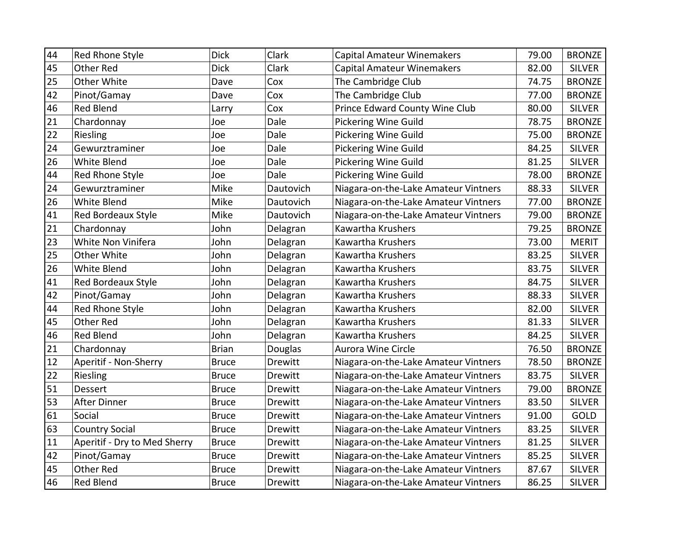| 44 | Red Rhone Style              | <b>Dick</b>  | Clark          | <b>Capital Amateur Winemakers</b>    | 79.00 | <b>BRONZE</b> |
|----|------------------------------|--------------|----------------|--------------------------------------|-------|---------------|
| 45 | Other Red                    | <b>Dick</b>  | Clark          | <b>Capital Amateur Winemakers</b>    | 82.00 | <b>SILVER</b> |
| 25 | Other White                  | Dave         | Cox            | The Cambridge Club                   | 74.75 | <b>BRONZE</b> |
| 42 | Pinot/Gamay                  | Dave         | Cox            | The Cambridge Club                   | 77.00 | <b>BRONZE</b> |
| 46 | <b>Red Blend</b>             | Larry        | Cox            | Prince Edward County Wine Club       | 80.00 | <b>SILVER</b> |
| 21 | Chardonnay                   | Joe          | Dale           | Pickering Wine Guild                 | 78.75 | <b>BRONZE</b> |
| 22 | Riesling                     | Joe          | Dale           | <b>Pickering Wine Guild</b>          | 75.00 | <b>BRONZE</b> |
| 24 | Gewurztraminer               | Joe          | Dale           | <b>Pickering Wine Guild</b>          | 84.25 | <b>SILVER</b> |
| 26 | White Blend                  | Joe          | Dale           | Pickering Wine Guild                 | 81.25 | <b>SILVER</b> |
| 44 | Red Rhone Style              | Joe          | Dale           | <b>Pickering Wine Guild</b>          | 78.00 | <b>BRONZE</b> |
| 24 | Gewurztraminer               | Mike         | Dautovich      | Niagara-on-the-Lake Amateur Vintners | 88.33 | <b>SILVER</b> |
| 26 | White Blend                  | Mike         | Dautovich      | Niagara-on-the-Lake Amateur Vintners | 77.00 | <b>BRONZE</b> |
| 41 | Red Bordeaux Style           | Mike         | Dautovich      | Niagara-on-the-Lake Amateur Vintners | 79.00 | <b>BRONZE</b> |
| 21 | Chardonnay                   | John         | Delagran       | Kawartha Krushers                    | 79.25 | <b>BRONZE</b> |
| 23 | White Non Vinifera           | John         | Delagran       | Kawartha Krushers                    | 73.00 | <b>MERIT</b>  |
| 25 | Other White                  | John         | Delagran       | Kawartha Krushers                    | 83.25 | <b>SILVER</b> |
| 26 | White Blend                  | John         | Delagran       | Kawartha Krushers                    | 83.75 | <b>SILVER</b> |
| 41 | Red Bordeaux Style           | John         | Delagran       | Kawartha Krushers                    | 84.75 | <b>SILVER</b> |
| 42 | Pinot/Gamay                  | John         | Delagran       | Kawartha Krushers                    | 88.33 | <b>SILVER</b> |
| 44 | Red Rhone Style              | John         | Delagran       | Kawartha Krushers                    | 82.00 | <b>SILVER</b> |
| 45 | <b>Other Red</b>             | John         | Delagran       | Kawartha Krushers                    | 81.33 | <b>SILVER</b> |
| 46 | <b>Red Blend</b>             | John         | Delagran       | Kawartha Krushers                    | 84.25 | <b>SILVER</b> |
| 21 | Chardonnay                   | <b>Brian</b> | Douglas        | <b>Aurora Wine Circle</b>            | 76.50 | <b>BRONZE</b> |
| 12 | Aperitif - Non-Sherry        | <b>Bruce</b> | Drewitt        | Niagara-on-the-Lake Amateur Vintners | 78.50 | <b>BRONZE</b> |
| 22 | Riesling                     | <b>Bruce</b> | Drewitt        | Niagara-on-the-Lake Amateur Vintners | 83.75 | <b>SILVER</b> |
| 51 | Dessert                      | <b>Bruce</b> | Drewitt        | Niagara-on-the-Lake Amateur Vintners | 79.00 | <b>BRONZE</b> |
| 53 | <b>After Dinner</b>          | <b>Bruce</b> | Drewitt        | Niagara-on-the-Lake Amateur Vintners | 83.50 | <b>SILVER</b> |
| 61 | Social                       | <b>Bruce</b> | Drewitt        | Niagara-on-the-Lake Amateur Vintners | 91.00 | GOLD          |
| 63 | <b>Country Social</b>        | <b>Bruce</b> | Drewitt        | Niagara-on-the-Lake Amateur Vintners | 83.25 | <b>SILVER</b> |
| 11 | Aperitif - Dry to Med Sherry | <b>Bruce</b> | Drewitt        | Niagara-on-the-Lake Amateur Vintners | 81.25 | <b>SILVER</b> |
| 42 | Pinot/Gamay                  | <b>Bruce</b> | <b>Drewitt</b> | Niagara-on-the-Lake Amateur Vintners | 85.25 | <b>SILVER</b> |
| 45 | <b>Other Red</b>             | <b>Bruce</b> | Drewitt        | Niagara-on-the-Lake Amateur Vintners | 87.67 | <b>SILVER</b> |
| 46 | Red Blend                    | <b>Bruce</b> | Drewitt        | Niagara-on-the-Lake Amateur Vintners | 86.25 | <b>SILVER</b> |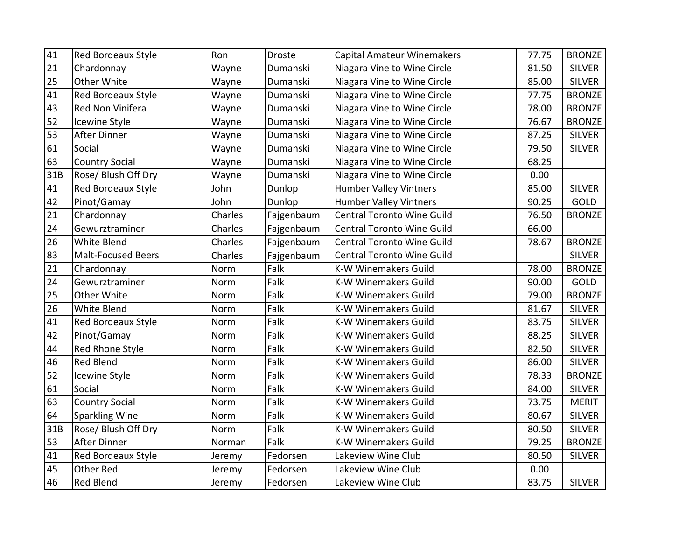| 41  | <b>Red Bordeaux Style</b> | Ron     | Droste     | <b>Capital Amateur Winemakers</b> | 77.75 | <b>BRONZE</b> |
|-----|---------------------------|---------|------------|-----------------------------------|-------|---------------|
| 21  | Chardonnay                | Wayne   | Dumanski   | Niagara Vine to Wine Circle       | 81.50 | <b>SILVER</b> |
| 25  | Other White               | Wayne   | Dumanski   | Niagara Vine to Wine Circle       | 85.00 | <b>SILVER</b> |
| 41  | Red Bordeaux Style        | Wayne   | Dumanski   | Niagara Vine to Wine Circle       | 77.75 | <b>BRONZE</b> |
| 43  | Red Non Vinifera          | Wayne   | Dumanski   | Niagara Vine to Wine Circle       | 78.00 | <b>BRONZE</b> |
| 52  | <b>Icewine Style</b>      | Wayne   | Dumanski   | Niagara Vine to Wine Circle       | 76.67 | <b>BRONZE</b> |
| 53  | After Dinner              | Wayne   | Dumanski   | Niagara Vine to Wine Circle       | 87.25 | <b>SILVER</b> |
| 61  | Social                    | Wayne   | Dumanski   | Niagara Vine to Wine Circle       | 79.50 | <b>SILVER</b> |
| 63  | <b>Country Social</b>     | Wayne   | Dumanski   | Niagara Vine to Wine Circle       | 68.25 |               |
| 31B | Rose/ Blush Off Dry       | Wayne   | Dumanski   | Niagara Vine to Wine Circle       | 0.00  |               |
| 41  | Red Bordeaux Style        | John    | Dunlop     | <b>Humber Valley Vintners</b>     | 85.00 | <b>SILVER</b> |
| 42  | Pinot/Gamay               | John    | Dunlop     | <b>Humber Valley Vintners</b>     | 90.25 | <b>GOLD</b>   |
| 21  | Chardonnay                | Charles | Fajgenbaum | <b>Central Toronto Wine Guild</b> | 76.50 | <b>BRONZE</b> |
| 24  | Gewurztraminer            | Charles | Fajgenbaum | <b>Central Toronto Wine Guild</b> | 66.00 |               |
| 26  | <b>White Blend</b>        | Charles | Fajgenbaum | <b>Central Toronto Wine Guild</b> | 78.67 | <b>BRONZE</b> |
| 83  | <b>Malt-Focused Beers</b> | Charles | Fajgenbaum | <b>Central Toronto Wine Guild</b> |       | <b>SILVER</b> |
| 21  | Chardonnay                | Norm    | Falk       | K-W Winemakers Guild              | 78.00 | <b>BRONZE</b> |
| 24  | Gewurztraminer            | Norm    | Falk       | <b>K-W Winemakers Guild</b>       | 90.00 | GOLD          |
| 25  | Other White               | Norm    | Falk       | <b>K-W Winemakers Guild</b>       | 79.00 | <b>BRONZE</b> |
| 26  | White Blend               | Norm    | Falk       | <b>K-W Winemakers Guild</b>       | 81.67 | <b>SILVER</b> |
| 41  | Red Bordeaux Style        | Norm    | Falk       | <b>K-W Winemakers Guild</b>       | 83.75 | <b>SILVER</b> |
| 42  | Pinot/Gamay               | Norm    | Falk       | <b>K-W Winemakers Guild</b>       | 88.25 | <b>SILVER</b> |
| 44  | Red Rhone Style           | Norm    | Falk       | <b>K-W Winemakers Guild</b>       | 82.50 | <b>SILVER</b> |
| 46  | <b>Red Blend</b>          | Norm    | Falk       | <b>K-W Winemakers Guild</b>       | 86.00 | <b>SILVER</b> |
| 52  | Icewine Style             | Norm    | Falk       | <b>K-W Winemakers Guild</b>       | 78.33 | <b>BRONZE</b> |
| 61  | Social                    | Norm    | Falk       | <b>K-W Winemakers Guild</b>       | 84.00 | <b>SILVER</b> |
| 63  | <b>Country Social</b>     | Norm    | Falk       | <b>K-W Winemakers Guild</b>       | 73.75 | <b>MERIT</b>  |
| 64  | Sparkling Wine            | Norm    | Falk       | <b>K-W Winemakers Guild</b>       | 80.67 | <b>SILVER</b> |
| 31B | Rose/ Blush Off Dry       | Norm    | Falk       | <b>K-W Winemakers Guild</b>       | 80.50 | <b>SILVER</b> |
| 53  | After Dinner              | Norman  | Falk       | <b>K-W Winemakers Guild</b>       | 79.25 | <b>BRONZE</b> |
| 41  | Red Bordeaux Style        | Jeremy  | Fedorsen   | Lakeview Wine Club                | 80.50 | <b>SILVER</b> |
| 45  | Other Red                 | Jeremy  | Fedorsen   | Lakeview Wine Club                | 0.00  |               |
| 46  | <b>Red Blend</b>          | Jeremy  | Fedorsen   | Lakeview Wine Club                | 83.75 | <b>SILVER</b> |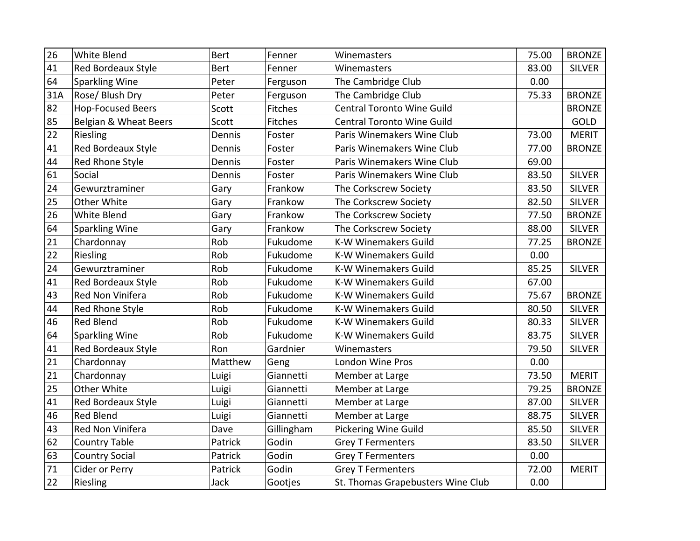| $\overline{26}$ | White Blend              | <b>Bert</b> | Fenner         | Winemasters                       | 75.00 | <b>BRONZE</b> |
|-----------------|--------------------------|-------------|----------------|-----------------------------------|-------|---------------|
| 41              | Red Bordeaux Style       | <b>Bert</b> | Fenner         | Winemasters                       | 83.00 | <b>SILVER</b> |
| 64              | <b>Sparkling Wine</b>    | Peter       | Ferguson       | The Cambridge Club                | 0.00  |               |
| 31A             | Rose/ Blush Dry          | Peter       | Ferguson       | The Cambridge Club                | 75.33 | <b>BRONZE</b> |
| 82              | <b>Hop-Focused Beers</b> | Scott       | <b>Fitches</b> | Central Toronto Wine Guild        |       | <b>BRONZE</b> |
| 85              | Belgian & Wheat Beers    | Scott       | Fitches        | <b>Central Toronto Wine Guild</b> |       | GOLD          |
| 22              | Riesling                 | Dennis      | Foster         | Paris Winemakers Wine Club        | 73.00 | <b>MERIT</b>  |
| 41              | Red Bordeaux Style       | Dennis      | Foster         | Paris Winemakers Wine Club        | 77.00 | <b>BRONZE</b> |
| 44              | Red Rhone Style          | Dennis      | Foster         | Paris Winemakers Wine Club        | 69.00 |               |
| 61              | Social                   | Dennis      | Foster         | Paris Winemakers Wine Club        | 83.50 | <b>SILVER</b> |
| 24              | Gewurztraminer           | Gary        | Frankow        | The Corkscrew Society             | 83.50 | <b>SILVER</b> |
| 25              | Other White              | Gary        | Frankow        | The Corkscrew Society             | 82.50 | <b>SILVER</b> |
| 26              | White Blend              | Gary        | Frankow        | The Corkscrew Society             | 77.50 | <b>BRONZE</b> |
| 64              | <b>Sparkling Wine</b>    | Gary        | Frankow        | The Corkscrew Society             | 88.00 | <b>SILVER</b> |
| 21              | Chardonnay               | Rob         | Fukudome       | <b>K-W Winemakers Guild</b>       | 77.25 | <b>BRONZE</b> |
| 22              | Riesling                 | Rob         | Fukudome       | <b>K-W Winemakers Guild</b>       | 0.00  |               |
| 24              | Gewurztraminer           | Rob         | Fukudome       | <b>K-W Winemakers Guild</b>       | 85.25 | <b>SILVER</b> |
| 41              | Red Bordeaux Style       | Rob         | Fukudome       | <b>K-W Winemakers Guild</b>       | 67.00 |               |
| 43              | Red Non Vinifera         | Rob         | Fukudome       | K-W Winemakers Guild              | 75.67 | <b>BRONZE</b> |
| 44              | Red Rhone Style          | Rob         | Fukudome       | <b>K-W Winemakers Guild</b>       | 80.50 | <b>SILVER</b> |
| 46              | <b>Red Blend</b>         | Rob         | Fukudome       | <b>K-W Winemakers Guild</b>       | 80.33 | <b>SILVER</b> |
| 64              | <b>Sparkling Wine</b>    | Rob         | Fukudome       | <b>K-W Winemakers Guild</b>       | 83.75 | <b>SILVER</b> |
| 41              | Red Bordeaux Style       | Ron         | Gardnier       | Winemasters                       | 79.50 | <b>SILVER</b> |
| 21              | Chardonnay               | Matthew     | Geng           | London Wine Pros                  | 0.00  |               |
| 21              | Chardonnay               | Luigi       | Giannetti      | Member at Large                   | 73.50 | <b>MERIT</b>  |
| 25              | Other White              | Luigi       | Giannetti      | Member at Large                   | 79.25 | <b>BRONZE</b> |
| 41              | Red Bordeaux Style       | Luigi       | Giannetti      | Member at Large                   | 87.00 | <b>SILVER</b> |
| 46              | <b>Red Blend</b>         | Luigi       | Giannetti      | Member at Large                   | 88.75 | <b>SILVER</b> |
| 43              | Red Non Vinifera         | Dave        | Gillingham     | <b>Pickering Wine Guild</b>       | 85.50 | <b>SILVER</b> |
| 62              | <b>Country Table</b>     | Patrick     | Godin          | <b>Grey T Fermenters</b>          | 83.50 | <b>SILVER</b> |
| 63              | <b>Country Social</b>    | Patrick     | Godin          | <b>Grey T Fermenters</b>          | 0.00  |               |
| 71              | Cider or Perry           | Patrick     | Godin          | <b>Grey T Fermenters</b>          | 72.00 | <b>MERIT</b>  |
| 22              | Riesling                 | Jack        | Gootjes        | St. Thomas Grapebusters Wine Club | 0.00  |               |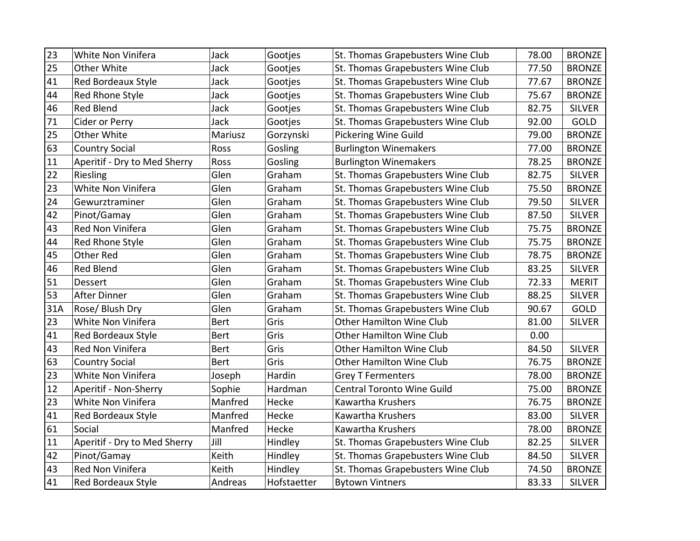| $\overline{23}$ | White Non Vinifera           | Jack        | Gootjes     | St. Thomas Grapebusters Wine Club | 78.00 | <b>BRONZE</b> |
|-----------------|------------------------------|-------------|-------------|-----------------------------------|-------|---------------|
| 25              | Other White                  | Jack        | Gootjes     | St. Thomas Grapebusters Wine Club | 77.50 | <b>BRONZE</b> |
| 41              | Red Bordeaux Style           | Jack        | Gootjes     | St. Thomas Grapebusters Wine Club | 77.67 | <b>BRONZE</b> |
| 44              | Red Rhone Style              | Jack        | Gootjes     | St. Thomas Grapebusters Wine Club | 75.67 | <b>BRONZE</b> |
| 46              | <b>Red Blend</b>             | Jack        | Gootjes     | St. Thomas Grapebusters Wine Club | 82.75 | <b>SILVER</b> |
| 71              | Cider or Perry               | Jack        | Gootjes     | St. Thomas Grapebusters Wine Club | 92.00 | GOLD          |
| 25              | Other White                  | Mariusz     | Gorzynski   | <b>Pickering Wine Guild</b>       | 79.00 | <b>BRONZE</b> |
| 63              | <b>Country Social</b>        | Ross        | Gosling     | <b>Burlington Winemakers</b>      | 77.00 | <b>BRONZE</b> |
| 11              | Aperitif - Dry to Med Sherry | Ross        | Gosling     | <b>Burlington Winemakers</b>      | 78.25 | <b>BRONZE</b> |
| 22              | Riesling                     | Glen        | Graham      | St. Thomas Grapebusters Wine Club | 82.75 | <b>SILVER</b> |
| 23              | White Non Vinifera           | Glen        | Graham      | St. Thomas Grapebusters Wine Club | 75.50 | <b>BRONZE</b> |
| 24              | Gewurztraminer               | Glen        | Graham      | St. Thomas Grapebusters Wine Club | 79.50 | <b>SILVER</b> |
| 42              | Pinot/Gamay                  | Glen        | Graham      | St. Thomas Grapebusters Wine Club | 87.50 | <b>SILVER</b> |
| 43              | Red Non Vinifera             | Glen        | Graham      | St. Thomas Grapebusters Wine Club | 75.75 | <b>BRONZE</b> |
| 44              | Red Rhone Style              | Glen        | Graham      | St. Thomas Grapebusters Wine Club | 75.75 | <b>BRONZE</b> |
| 45              | <b>Other Red</b>             | Glen        | Graham      | St. Thomas Grapebusters Wine Club | 78.75 | <b>BRONZE</b> |
| 46              | Red Blend                    | Glen        | Graham      | St. Thomas Grapebusters Wine Club | 83.25 | <b>SILVER</b> |
| 51              | Dessert                      | Glen        | Graham      | St. Thomas Grapebusters Wine Club | 72.33 | <b>MERIT</b>  |
| 53              | <b>After Dinner</b>          | Glen        | Graham      | St. Thomas Grapebusters Wine Club | 88.25 | <b>SILVER</b> |
| 31A             | Rose/ Blush Dry              | Glen        | Graham      | St. Thomas Grapebusters Wine Club | 90.67 | GOLD          |
| 23              | White Non Vinifera           | Bert        | Gris        | <b>Other Hamilton Wine Club</b>   | 81.00 | <b>SILVER</b> |
| 41              | <b>Red Bordeaux Style</b>    | Bert        | Gris        | <b>Other Hamilton Wine Club</b>   | 0.00  |               |
| 43              | Red Non Vinifera             | Bert        | Gris        | <b>Other Hamilton Wine Club</b>   | 84.50 | <b>SILVER</b> |
| 63              | <b>Country Social</b>        | <b>Bert</b> | Gris        | <b>Other Hamilton Wine Club</b>   | 76.75 | <b>BRONZE</b> |
| 23              | White Non Vinifera           | Joseph      | Hardin      | <b>Grey T Fermenters</b>          | 78.00 | <b>BRONZE</b> |
| 12              | Aperitif - Non-Sherry        | Sophie      | Hardman     | <b>Central Toronto Wine Guild</b> | 75.00 | <b>BRONZE</b> |
| 23              | White Non Vinifera           | Manfred     | Hecke       | Kawartha Krushers                 | 76.75 | <b>BRONZE</b> |
| 41              | <b>Red Bordeaux Style</b>    | Manfred     | Hecke       | Kawartha Krushers                 | 83.00 | <b>SILVER</b> |
| 61              | Social                       | Manfred     | Hecke       | Kawartha Krushers                 | 78.00 | <b>BRONZE</b> |
| 11              | Aperitif - Dry to Med Sherry | Jill        | Hindley     | St. Thomas Grapebusters Wine Club | 82.25 | <b>SILVER</b> |
| 42              | Pinot/Gamay                  | Keith       | Hindley     | St. Thomas Grapebusters Wine Club | 84.50 | <b>SILVER</b> |
| 43              | Red Non Vinifera             | Keith       | Hindley     | St. Thomas Grapebusters Wine Club | 74.50 | <b>BRONZE</b> |
| 41              | <b>Red Bordeaux Style</b>    | Andreas     | Hofstaetter | <b>Bytown Vintners</b>            | 83.33 | <b>SILVER</b> |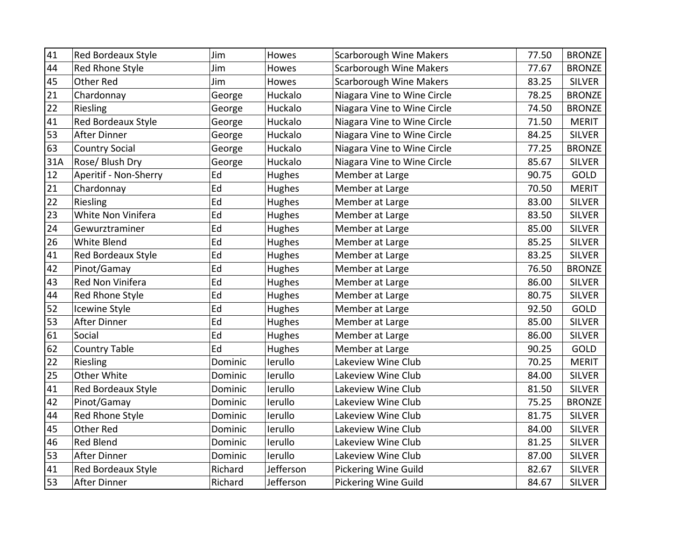| 41  | <b>Red Bordeaux Style</b> | Jim     | Howes     | <b>Scarborough Wine Makers</b> | 77.50 | <b>BRONZE</b> |
|-----|---------------------------|---------|-----------|--------------------------------|-------|---------------|
| 44  | Red Rhone Style           | Jim     | Howes     | <b>Scarborough Wine Makers</b> | 77.67 | <b>BRONZE</b> |
| 45  | Other Red                 | Jim     | Howes     | <b>Scarborough Wine Makers</b> | 83.25 | <b>SILVER</b> |
| 21  | Chardonnay                | George  | Huckalo   | Niagara Vine to Wine Circle    | 78.25 | <b>BRONZE</b> |
| 22  | Riesling                  | George  | Huckalo   | Niagara Vine to Wine Circle    | 74.50 | <b>BRONZE</b> |
| 41  | Red Bordeaux Style        | George  | Huckalo   | Niagara Vine to Wine Circle    | 71.50 | <b>MERIT</b>  |
| 53  | After Dinner              | George  | Huckalo   | Niagara Vine to Wine Circle    | 84.25 | <b>SILVER</b> |
| 63  | <b>Country Social</b>     | George  | Huckalo   | Niagara Vine to Wine Circle    | 77.25 | <b>BRONZE</b> |
| 31A | Rose/ Blush Dry           | George  | Huckalo   | Niagara Vine to Wine Circle    | 85.67 | <b>SILVER</b> |
| 12  | Aperitif - Non-Sherry     | Ed      | Hughes    | Member at Large                | 90.75 | GOLD          |
| 21  | Chardonnay                | Ed      | Hughes    | Member at Large                | 70.50 | <b>MERIT</b>  |
| 22  | Riesling                  | Ed      | Hughes    | Member at Large                | 83.00 | <b>SILVER</b> |
| 23  | White Non Vinifera        | Ed      | Hughes    | Member at Large                | 83.50 | <b>SILVER</b> |
| 24  | Gewurztraminer            | Ed      | Hughes    | Member at Large                | 85.00 | <b>SILVER</b> |
| 26  | <b>White Blend</b>        | Ed      | Hughes    | Member at Large                | 85.25 | <b>SILVER</b> |
| 41  | Red Bordeaux Style        | Ed      | Hughes    | Member at Large                | 83.25 | <b>SILVER</b> |
| 42  | Pinot/Gamay               | Ed      | Hughes    | Member at Large                | 76.50 | <b>BRONZE</b> |
| 43  | Red Non Vinifera          | Ed      | Hughes    | Member at Large                | 86.00 | <b>SILVER</b> |
| 44  | Red Rhone Style           | Ed      | Hughes    | Member at Large                | 80.75 | <b>SILVER</b> |
| 52  | Icewine Style             | Ed      | Hughes    | Member at Large                | 92.50 | GOLD          |
| 53  | After Dinner              | Ed      | Hughes    | Member at Large                | 85.00 | <b>SILVER</b> |
| 61  | Social                    | Ed      | Hughes    | Member at Large                | 86.00 | <b>SILVER</b> |
| 62  | <b>Country Table</b>      | Ed      | Hughes    | Member at Large                | 90.25 | GOLD          |
| 22  | Riesling                  | Dominic | lerullo   | Lakeview Wine Club             | 70.25 | <b>MERIT</b>  |
| 25  | Other White               | Dominic | lerullo   | Lakeview Wine Club             | 84.00 | <b>SILVER</b> |
| 41  | Red Bordeaux Style        | Dominic | lerullo   | Lakeview Wine Club             | 81.50 | <b>SILVER</b> |
| 42  | Pinot/Gamay               | Dominic | lerullo   | Lakeview Wine Club             | 75.25 | <b>BRONZE</b> |
| 44  | Red Rhone Style           | Dominic | lerullo   | Lakeview Wine Club             | 81.75 | <b>SILVER</b> |
| 45  | Other Red                 | Dominic | lerullo   | Lakeview Wine Club             | 84.00 | <b>SILVER</b> |
| 46  | <b>Red Blend</b>          | Dominic | lerullo   | Lakeview Wine Club             | 81.25 | <b>SILVER</b> |
| 53  | After Dinner              | Dominic | lerullo   | Lakeview Wine Club             | 87.00 | <b>SILVER</b> |
| 41  | Red Bordeaux Style        | Richard | Jefferson | <b>Pickering Wine Guild</b>    | 82.67 | <b>SILVER</b> |
| 53  | <b>After Dinner</b>       | Richard | Jefferson | <b>Pickering Wine Guild</b>    | 84.67 | <b>SILVER</b> |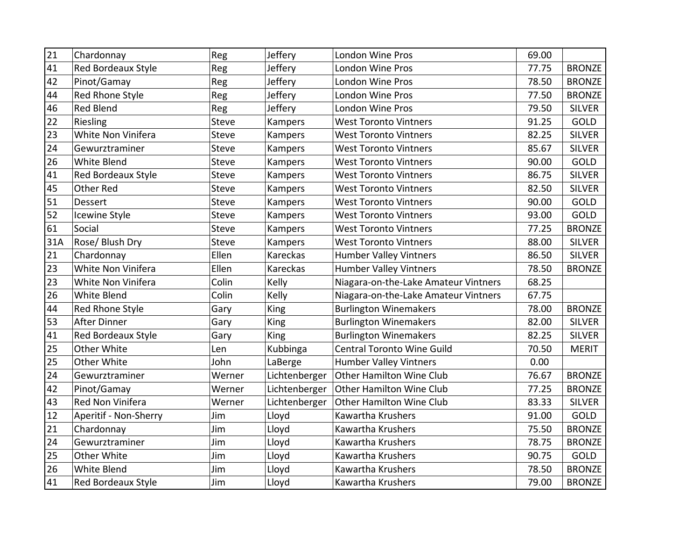| 21  | Chardonnay            | Reg          | Jeffery        | <b>London Wine Pros</b>              | 69.00 |               |
|-----|-----------------------|--------------|----------------|--------------------------------------|-------|---------------|
| 41  | Red Bordeaux Style    | Reg          | Jeffery        | <b>London Wine Pros</b>              | 77.75 | <b>BRONZE</b> |
| 42  | Pinot/Gamay           | Reg          | Jeffery        | <b>London Wine Pros</b>              | 78.50 | <b>BRONZE</b> |
| 44  | Red Rhone Style       | Reg          | Jeffery        | <b>London Wine Pros</b>              | 77.50 | <b>BRONZE</b> |
| 46  | <b>Red Blend</b>      | Reg          | Jeffery        | <b>London Wine Pros</b>              | 79.50 | <b>SILVER</b> |
| 22  | Riesling              | <b>Steve</b> | Kampers        | <b>West Toronto Vintners</b>         | 91.25 | GOLD          |
| 23  | White Non Vinifera    | Steve        | Kampers        | <b>West Toronto Vintners</b>         | 82.25 | <b>SILVER</b> |
| 24  | Gewurztraminer        | <b>Steve</b> | <b>Kampers</b> | <b>West Toronto Vintners</b>         | 85.67 | <b>SILVER</b> |
| 26  | <b>White Blend</b>    | Steve        | Kampers        | <b>West Toronto Vintners</b>         | 90.00 | GOLD          |
| 41  | Red Bordeaux Style    | <b>Steve</b> | Kampers        | <b>West Toronto Vintners</b>         | 86.75 | <b>SILVER</b> |
| 45  | <b>Other Red</b>      | Steve        | Kampers        | <b>West Toronto Vintners</b>         | 82.50 | <b>SILVER</b> |
| 51  | <b>Dessert</b>        | <b>Steve</b> | Kampers        | <b>West Toronto Vintners</b>         | 90.00 | <b>GOLD</b>   |
| 52  | Icewine Style         | <b>Steve</b> | Kampers        | <b>West Toronto Vintners</b>         | 93.00 | GOLD          |
| 61  | Social                | <b>Steve</b> | Kampers        | <b>West Toronto Vintners</b>         | 77.25 | <b>BRONZE</b> |
| 31A | Rose/ Blush Dry       | Steve        | Kampers        | <b>West Toronto Vintners</b>         | 88.00 | <b>SILVER</b> |
| 21  | Chardonnay            | Ellen        | Kareckas       | <b>Humber Valley Vintners</b>        | 86.50 | <b>SILVER</b> |
| 23  | White Non Vinifera    | Ellen        | Kareckas       | <b>Humber Valley Vintners</b>        | 78.50 | <b>BRONZE</b> |
| 23  | White Non Vinifera    | Colin        | Kelly          | Niagara-on-the-Lake Amateur Vintners | 68.25 |               |
| 26  | <b>White Blend</b>    | Colin        | Kelly          | Niagara-on-the-Lake Amateur Vintners | 67.75 |               |
| 44  | Red Rhone Style       | Gary         | <b>King</b>    | <b>Burlington Winemakers</b>         | 78.00 | <b>BRONZE</b> |
| 53  | <b>After Dinner</b>   | Gary         | <b>King</b>    | <b>Burlington Winemakers</b>         | 82.00 | <b>SILVER</b> |
| 41  | Red Bordeaux Style    | Gary         | King           | <b>Burlington Winemakers</b>         | 82.25 | <b>SILVER</b> |
| 25  | Other White           | Len          | Kubbinga       | <b>Central Toronto Wine Guild</b>    | 70.50 | <b>MERIT</b>  |
| 25  | Other White           | John         | LaBerge        | <b>Humber Valley Vintners</b>        | 0.00  |               |
| 24  | Gewurztraminer        | Werner       | Lichtenberger  | Other Hamilton Wine Club             | 76.67 | <b>BRONZE</b> |
| 42  | Pinot/Gamay           | Werner       | Lichtenberger  | Other Hamilton Wine Club             | 77.25 | <b>BRONZE</b> |
| 43  | Red Non Vinifera      | Werner       | Lichtenberger  | <b>Other Hamilton Wine Club</b>      | 83.33 | <b>SILVER</b> |
| 12  | Aperitif - Non-Sherry | Jim          | Lloyd          | Kawartha Krushers                    | 91.00 | GOLD          |
| 21  | Chardonnay            | Jim          | Lloyd          | Kawartha Krushers                    | 75.50 | <b>BRONZE</b> |
| 24  | Gewurztraminer        | Jim          | Lloyd          | Kawartha Krushers                    | 78.75 | <b>BRONZE</b> |
| 25  | Other White           | Jim          | Lloyd          | Kawartha Krushers                    | 90.75 | GOLD          |
| 26  | <b>White Blend</b>    | Jim          | Lloyd          | Kawartha Krushers                    | 78.50 | <b>BRONZE</b> |
| 41  | Red Bordeaux Style    | Jim          | Lloyd          | Kawartha Krushers                    | 79.00 | <b>BRONZE</b> |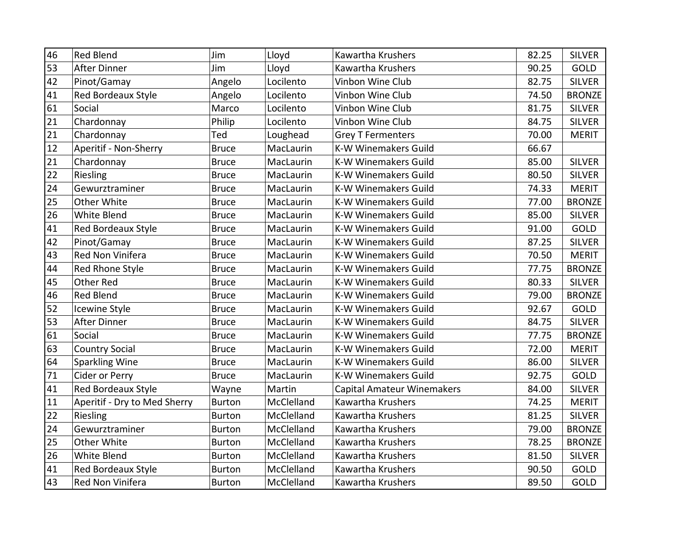| 46 | <b>Red Blend</b>             | Jim           | Lloyd      | Kawartha Krushers                 | 82.25 | <b>SILVER</b> |
|----|------------------------------|---------------|------------|-----------------------------------|-------|---------------|
| 53 | <b>After Dinner</b>          | Jim           | Lloyd      | Kawartha Krushers                 | 90.25 | GOLD          |
| 42 | Pinot/Gamay                  | Angelo        | Locilento  | Vinbon Wine Club                  | 82.75 | <b>SILVER</b> |
| 41 | Red Bordeaux Style           | Angelo        | Locilento  | Vinbon Wine Club                  | 74.50 | <b>BRONZE</b> |
| 61 | Social                       | Marco         | Locilento  | Vinbon Wine Club                  | 81.75 | <b>SILVER</b> |
| 21 | Chardonnay                   | Philip        | Locilento  | Vinbon Wine Club                  | 84.75 | <b>SILVER</b> |
| 21 | Chardonnay                   | Ted           | Loughead   | <b>Grey T Fermenters</b>          | 70.00 | <b>MERIT</b>  |
| 12 | Aperitif - Non-Sherry        | <b>Bruce</b>  | MacLaurin  | <b>K-W Winemakers Guild</b>       | 66.67 |               |
| 21 | Chardonnay                   | <b>Bruce</b>  | MacLaurin  | <b>K-W Winemakers Guild</b>       | 85.00 | <b>SILVER</b> |
| 22 | Riesling                     | <b>Bruce</b>  | MacLaurin  | <b>K-W Winemakers Guild</b>       | 80.50 | <b>SILVER</b> |
| 24 | Gewurztraminer               | <b>Bruce</b>  | MacLaurin  | <b>K-W Winemakers Guild</b>       | 74.33 | <b>MERIT</b>  |
| 25 | Other White                  | <b>Bruce</b>  | MacLaurin  | <b>K-W Winemakers Guild</b>       | 77.00 | <b>BRONZE</b> |
| 26 | <b>White Blend</b>           | <b>Bruce</b>  | MacLaurin  | <b>K-W Winemakers Guild</b>       | 85.00 | <b>SILVER</b> |
| 41 | Red Bordeaux Style           | <b>Bruce</b>  | MacLaurin  | K-W Winemakers Guild              | 91.00 | <b>GOLD</b>   |
| 42 | Pinot/Gamay                  | <b>Bruce</b>  | MacLaurin  | <b>K-W Winemakers Guild</b>       | 87.25 | <b>SILVER</b> |
| 43 | Red Non Vinifera             | <b>Bruce</b>  | MacLaurin  | <b>K-W Winemakers Guild</b>       | 70.50 | <b>MERIT</b>  |
| 44 | Red Rhone Style              | <b>Bruce</b>  | MacLaurin  | K-W Winemakers Guild              | 77.75 | <b>BRONZE</b> |
| 45 | <b>Other Red</b>             | <b>Bruce</b>  | MacLaurin  | K-W Winemakers Guild              | 80.33 | <b>SILVER</b> |
| 46 | <b>Red Blend</b>             | <b>Bruce</b>  | MacLaurin  | K-W Winemakers Guild              | 79.00 | <b>BRONZE</b> |
| 52 | Icewine Style                | <b>Bruce</b>  | MacLaurin  | K-W Winemakers Guild              | 92.67 | GOLD          |
| 53 | After Dinner                 | <b>Bruce</b>  | MacLaurin  | <b>K-W Winemakers Guild</b>       | 84.75 | <b>SILVER</b> |
| 61 | Social                       | <b>Bruce</b>  | MacLaurin  | K-W Winemakers Guild              | 77.75 | <b>BRONZE</b> |
| 63 | <b>Country Social</b>        | <b>Bruce</b>  | MacLaurin  | <b>K-W Winemakers Guild</b>       | 72.00 | <b>MERIT</b>  |
| 64 | Sparkling Wine               | <b>Bruce</b>  | MacLaurin  | <b>K-W Winemakers Guild</b>       | 86.00 | <b>SILVER</b> |
| 71 | Cider or Perry               | <b>Bruce</b>  | MacLaurin  | <b>K-W Winemakers Guild</b>       | 92.75 | GOLD          |
| 41 | Red Bordeaux Style           | Wayne         | Martin     | <b>Capital Amateur Winemakers</b> | 84.00 | <b>SILVER</b> |
| 11 | Aperitif - Dry to Med Sherry | <b>Burton</b> | McClelland | Kawartha Krushers                 | 74.25 | <b>MERIT</b>  |
| 22 | Riesling                     | <b>Burton</b> | McClelland | Kawartha Krushers                 | 81.25 | <b>SILVER</b> |
| 24 | Gewurztraminer               | <b>Burton</b> | McClelland | Kawartha Krushers                 | 79.00 | <b>BRONZE</b> |
| 25 | Other White                  | <b>Burton</b> | McClelland | Kawartha Krushers                 | 78.25 | <b>BRONZE</b> |
| 26 | White Blend                  | <b>Burton</b> | McClelland | Kawartha Krushers                 | 81.50 | <b>SILVER</b> |
| 41 | Red Bordeaux Style           | <b>Burton</b> | McClelland | Kawartha Krushers                 | 90.50 | GOLD          |
| 43 | Red Non Vinifera             | <b>Burton</b> | McClelland | Kawartha Krushers                 | 89.50 | GOLD          |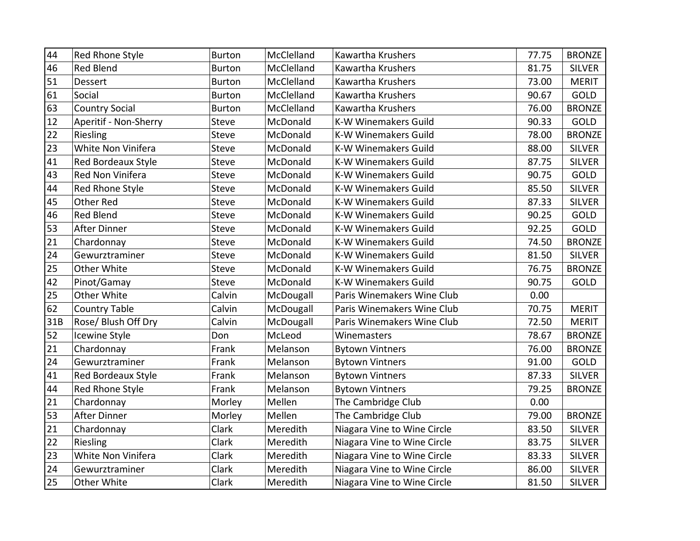| 44  | Red Rhone Style           | <b>Burton</b> | McClelland | Kawartha Krushers           | 77.75 | <b>BRONZE</b> |
|-----|---------------------------|---------------|------------|-----------------------------|-------|---------------|
| 46  | <b>Red Blend</b>          | <b>Burton</b> | McClelland | Kawartha Krushers           | 81.75 | <b>SILVER</b> |
| 51  | <b>Dessert</b>            | <b>Burton</b> | McClelland | Kawartha Krushers           | 73.00 | <b>MERIT</b>  |
| 61  | Social                    | <b>Burton</b> | McClelland | Kawartha Krushers           | 90.67 | GOLD          |
| 63  | <b>Country Social</b>     | <b>Burton</b> | McClelland | Kawartha Krushers           | 76.00 | <b>BRONZE</b> |
| 12  | Aperitif - Non-Sherry     | <b>Steve</b>  | McDonald   | <b>K-W Winemakers Guild</b> | 90.33 | <b>GOLD</b>   |
| 22  | Riesling                  | Steve         | McDonald   | K-W Winemakers Guild        | 78.00 | <b>BRONZE</b> |
| 23  | White Non Vinifera        | <b>Steve</b>  | McDonald   | <b>K-W Winemakers Guild</b> | 88.00 | <b>SILVER</b> |
| 41  | <b>Red Bordeaux Style</b> | <b>Steve</b>  | McDonald   | <b>K-W Winemakers Guild</b> | 87.75 | <b>SILVER</b> |
| 43  | Red Non Vinifera          | <b>Steve</b>  | McDonald   | <b>K-W Winemakers Guild</b> | 90.75 | GOLD          |
| 44  | Red Rhone Style           | Steve         | McDonald   | <b>K-W Winemakers Guild</b> | 85.50 | <b>SILVER</b> |
| 45  | Other Red                 | <b>Steve</b>  | McDonald   | <b>K-W Winemakers Guild</b> | 87.33 | <b>SILVER</b> |
| 46  | <b>Red Blend</b>          | <b>Steve</b>  | McDonald   | <b>K-W Winemakers Guild</b> | 90.25 | GOLD          |
| 53  | After Dinner              | <b>Steve</b>  | McDonald   | <b>K-W Winemakers Guild</b> | 92.25 | GOLD          |
| 21  | Chardonnay                | Steve         | McDonald   | <b>K-W Winemakers Guild</b> | 74.50 | <b>BRONZE</b> |
| 24  | Gewurztraminer            | <b>Steve</b>  | McDonald   | <b>K-W Winemakers Guild</b> | 81.50 | <b>SILVER</b> |
| 25  | Other White               | <b>Steve</b>  | McDonald   | <b>K-W Winemakers Guild</b> | 76.75 | <b>BRONZE</b> |
| 42  | Pinot/Gamay               | <b>Steve</b>  | McDonald   | K-W Winemakers Guild        | 90.75 | GOLD          |
| 25  | Other White               | Calvin        | McDougall  | Paris Winemakers Wine Club  | 0.00  |               |
| 62  | <b>Country Table</b>      | Calvin        | McDougall  | Paris Winemakers Wine Club  | 70.75 | <b>MERIT</b>  |
| 31B | Rose/ Blush Off Dry       | Calvin        | McDougall  | Paris Winemakers Wine Club  | 72.50 | <b>MERIT</b>  |
| 52  | Icewine Style             | Don           | McLeod     | Winemasters                 | 78.67 | <b>BRONZE</b> |
| 21  | Chardonnay                | Frank         | Melanson   | <b>Bytown Vintners</b>      | 76.00 | <b>BRONZE</b> |
| 24  | Gewurztraminer            | Frank         | Melanson   | <b>Bytown Vintners</b>      | 91.00 | GOLD          |
| 41  | Red Bordeaux Style        | Frank         | Melanson   | <b>Bytown Vintners</b>      | 87.33 | <b>SILVER</b> |
| 44  | Red Rhone Style           | Frank         | Melanson   | <b>Bytown Vintners</b>      | 79.25 | <b>BRONZE</b> |
| 21  | Chardonnay                | Morley        | Mellen     | The Cambridge Club          | 0.00  |               |
| 53  | <b>After Dinner</b>       | Morley        | Mellen     | The Cambridge Club          | 79.00 | <b>BRONZE</b> |
| 21  | Chardonnay                | Clark         | Meredith   | Niagara Vine to Wine Circle | 83.50 | <b>SILVER</b> |
| 22  | Riesling                  | Clark         | Meredith   | Niagara Vine to Wine Circle | 83.75 | <b>SILVER</b> |
| 23  | White Non Vinifera        | Clark         | Meredith   | Niagara Vine to Wine Circle | 83.33 | <b>SILVER</b> |
| 24  | Gewurztraminer            | Clark         | Meredith   | Niagara Vine to Wine Circle | 86.00 | <b>SILVER</b> |
| 25  | Other White               | Clark         | Meredith   | Niagara Vine to Wine Circle | 81.50 | <b>SILVER</b> |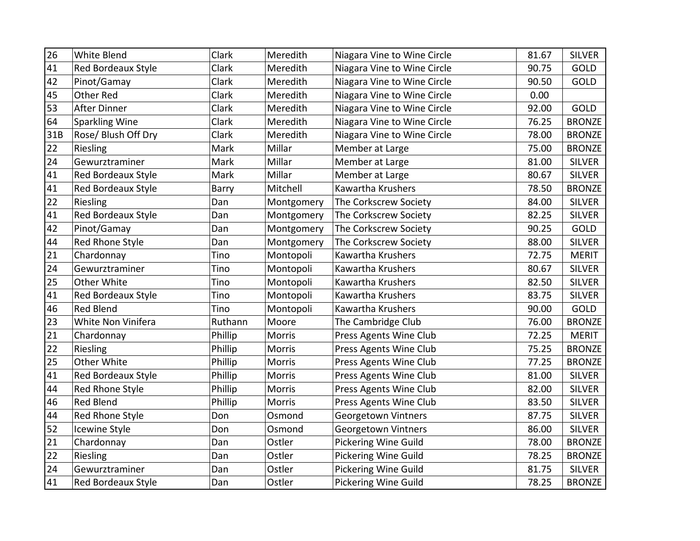| 26  | White Blend               | Clark        | Meredith   | Niagara Vine to Wine Circle | 81.67 | <b>SILVER</b> |
|-----|---------------------------|--------------|------------|-----------------------------|-------|---------------|
| 41  | Red Bordeaux Style        | <b>Clark</b> | Meredith   | Niagara Vine to Wine Circle | 90.75 | GOLD          |
| 42  | Pinot/Gamay               | Clark        | Meredith   | Niagara Vine to Wine Circle | 90.50 | GOLD          |
| 45  | <b>Other Red</b>          | Clark        | Meredith   | Niagara Vine to Wine Circle | 0.00  |               |
| 53  | <b>After Dinner</b>       | Clark        | Meredith   | Niagara Vine to Wine Circle | 92.00 | GOLD          |
| 64  | <b>Sparkling Wine</b>     | Clark        | Meredith   | Niagara Vine to Wine Circle | 76.25 | <b>BRONZE</b> |
| 31B | Rose/ Blush Off Dry       | Clark        | Meredith   | Niagara Vine to Wine Circle | 78.00 | <b>BRONZE</b> |
| 22  | Riesling                  | Mark         | Millar     | Member at Large             | 75.00 | <b>BRONZE</b> |
| 24  | Gewurztraminer            | Mark         | Millar     | Member at Large             | 81.00 | <b>SILVER</b> |
| 41  | Red Bordeaux Style        | Mark         | Millar     | Member at Large             | 80.67 | <b>SILVER</b> |
| 41  | <b>Red Bordeaux Style</b> | Barry        | Mitchell   | Kawartha Krushers           | 78.50 | <b>BRONZE</b> |
| 22  | Riesling                  | Dan          | Montgomery | The Corkscrew Society       | 84.00 | <b>SILVER</b> |
| 41  | Red Bordeaux Style        | Dan          | Montgomery | The Corkscrew Society       | 82.25 | <b>SILVER</b> |
| 42  | Pinot/Gamay               | Dan          | Montgomery | The Corkscrew Society       | 90.25 | GOLD          |
| 44  | Red Rhone Style           | Dan          | Montgomery | The Corkscrew Society       | 88.00 | <b>SILVER</b> |
| 21  | Chardonnay                | Tino         | Montopoli  | Kawartha Krushers           | 72.75 | <b>MERIT</b>  |
| 24  | Gewurztraminer            | Tino         | Montopoli  | Kawartha Krushers           | 80.67 | <b>SILVER</b> |
| 25  | Other White               | Tino         | Montopoli  | Kawartha Krushers           | 82.50 | <b>SILVER</b> |
| 41  | <b>Red Bordeaux Style</b> | Tino         | Montopoli  | Kawartha Krushers           | 83.75 | <b>SILVER</b> |
| 46  | <b>Red Blend</b>          | Tino         | Montopoli  | Kawartha Krushers           | 90.00 | GOLD          |
| 23  | White Non Vinifera        | Ruthann      | Moore      | The Cambridge Club          | 76.00 | <b>BRONZE</b> |
| 21  | Chardonnay                | Phillip      | Morris     | Press Agents Wine Club      | 72.25 | <b>MERIT</b>  |
| 22  | Riesling                  | Phillip      | Morris     | Press Agents Wine Club      | 75.25 | <b>BRONZE</b> |
| 25  | Other White               | Phillip      | Morris     | Press Agents Wine Club      | 77.25 | <b>BRONZE</b> |
| 41  | Red Bordeaux Style        | Phillip      | Morris     | Press Agents Wine Club      | 81.00 | <b>SILVER</b> |
| 44  | Red Rhone Style           | Phillip      | Morris     | Press Agents Wine Club      | 82.00 | <b>SILVER</b> |
| 46  | <b>Red Blend</b>          | Phillip      | Morris     | Press Agents Wine Club      | 83.50 | <b>SILVER</b> |
| 44  | Red Rhone Style           | Don          | Osmond     | <b>Georgetown Vintners</b>  | 87.75 | <b>SILVER</b> |
| 52  | Icewine Style             | Don          | Osmond     | Georgetown Vintners         | 86.00 | <b>SILVER</b> |
| 21  | Chardonnay                | Dan          | Ostler     | <b>Pickering Wine Guild</b> | 78.00 | <b>BRONZE</b> |
| 22  | Riesling                  | Dan          | Ostler     | Pickering Wine Guild        | 78.25 | <b>BRONZE</b> |
| 24  | Gewurztraminer            | Dan          | Ostler     | Pickering Wine Guild        | 81.75 | <b>SILVER</b> |
| 41  | <b>Red Bordeaux Style</b> | Dan          | Ostler     | <b>Pickering Wine Guild</b> | 78.25 | <b>BRONZE</b> |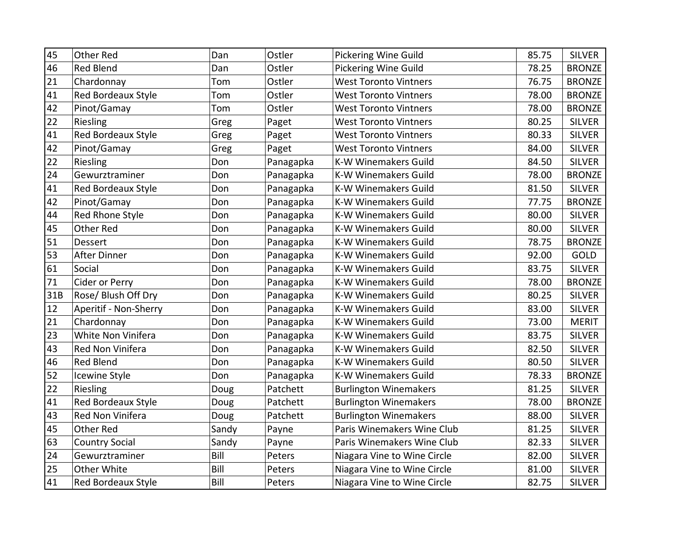| 45  | <b>Other Red</b>          | Dan   | Ostler    | <b>Pickering Wine Guild</b>  | 85.75 | <b>SILVER</b> |
|-----|---------------------------|-------|-----------|------------------------------|-------|---------------|
| 46  | <b>Red Blend</b>          | Dan   | Ostler    | <b>Pickering Wine Guild</b>  | 78.25 | <b>BRONZE</b> |
| 21  | Chardonnay                | Tom   | Ostler    | <b>West Toronto Vintners</b> | 76.75 | <b>BRONZE</b> |
| 41  | Red Bordeaux Style        | Tom   | Ostler    | <b>West Toronto Vintners</b> | 78.00 | <b>BRONZE</b> |
| 42  | Pinot/Gamay               | Tom   | Ostler    | <b>West Toronto Vintners</b> | 78.00 | <b>BRONZE</b> |
| 22  | Riesling                  | Greg  | Paget     | <b>West Toronto Vintners</b> | 80.25 | <b>SILVER</b> |
|     |                           |       |           |                              | 80.33 |               |
| 41  | Red Bordeaux Style        | Greg  | Paget     | <b>West Toronto Vintners</b> |       | <b>SILVER</b> |
| 42  | Pinot/Gamay               | Greg  | Paget     | <b>West Toronto Vintners</b> | 84.00 | <b>SILVER</b> |
| 22  | Riesling                  | Don   | Panagapka | <b>K-W Winemakers Guild</b>  | 84.50 | <b>SILVER</b> |
| 24  | Gewurztraminer            | Don   | Panagapka | K-W Winemakers Guild         | 78.00 | <b>BRONZE</b> |
| 41  | Red Bordeaux Style        | Don   | Panagapka | <b>K-W Winemakers Guild</b>  | 81.50 | <b>SILVER</b> |
| 42  | Pinot/Gamay               | Don   | Panagapka | <b>K-W Winemakers Guild</b>  | 77.75 | <b>BRONZE</b> |
| 44  | Red Rhone Style           | Don   | Panagapka | K-W Winemakers Guild         | 80.00 | <b>SILVER</b> |
| 45  | <b>Other Red</b>          | Don   | Panagapka | K-W Winemakers Guild         | 80.00 | <b>SILVER</b> |
| 51  | Dessert                   | Don   | Panagapka | K-W Winemakers Guild         | 78.75 | <b>BRONZE</b> |
| 53  | After Dinner              | Don   | Panagapka | <b>K-W Winemakers Guild</b>  | 92.00 | GOLD          |
| 61  | Social                    | Don   | Panagapka | K-W Winemakers Guild         | 83.75 | <b>SILVER</b> |
| 71  | Cider or Perry            | Don   | Panagapka | <b>K-W Winemakers Guild</b>  | 78.00 | <b>BRONZE</b> |
| 31B | Rose/ Blush Off Dry       | Don   | Panagapka | <b>K-W Winemakers Guild</b>  | 80.25 | <b>SILVER</b> |
| 12  | Aperitif - Non-Sherry     | Don   | Panagapka | <b>K-W Winemakers Guild</b>  | 83.00 | <b>SILVER</b> |
| 21  | Chardonnay                | Don   | Panagapka | K-W Winemakers Guild         | 73.00 | <b>MERIT</b>  |
| 23  | White Non Vinifera        | Don   | Panagapka | <b>K-W Winemakers Guild</b>  | 83.75 | <b>SILVER</b> |
| 43  | Red Non Vinifera          | Don   | Panagapka | <b>K-W Winemakers Guild</b>  | 82.50 | <b>SILVER</b> |
| 46  | <b>Red Blend</b>          | Don   | Panagapka | <b>K-W Winemakers Guild</b>  | 80.50 | <b>SILVER</b> |
| 52  | Icewine Style             | Don   | Panagapka | K-W Winemakers Guild         | 78.33 | <b>BRONZE</b> |
| 22  | Riesling                  | Doug  | Patchett  | <b>Burlington Winemakers</b> | 81.25 | <b>SILVER</b> |
| 41  | <b>Red Bordeaux Style</b> | Doug  | Patchett  | <b>Burlington Winemakers</b> | 78.00 | <b>BRONZE</b> |
| 43  | Red Non Vinifera          | Doug  | Patchett  | <b>Burlington Winemakers</b> | 88.00 | <b>SILVER</b> |
| 45  | <b>Other Red</b>          | Sandy | Payne     | Paris Winemakers Wine Club   | 81.25 | <b>SILVER</b> |
| 63  | <b>Country Social</b>     | Sandy | Payne     | Paris Winemakers Wine Club   | 82.33 | <b>SILVER</b> |
| 24  | Gewurztraminer            | Bill  | Peters    | Niagara Vine to Wine Circle  | 82.00 | <b>SILVER</b> |
| 25  | Other White               | Bill  | Peters    | Niagara Vine to Wine Circle  | 81.00 | <b>SILVER</b> |
| 41  | Red Bordeaux Style        | Bill  | Peters    | Niagara Vine to Wine Circle  | 82.75 | <b>SILVER</b> |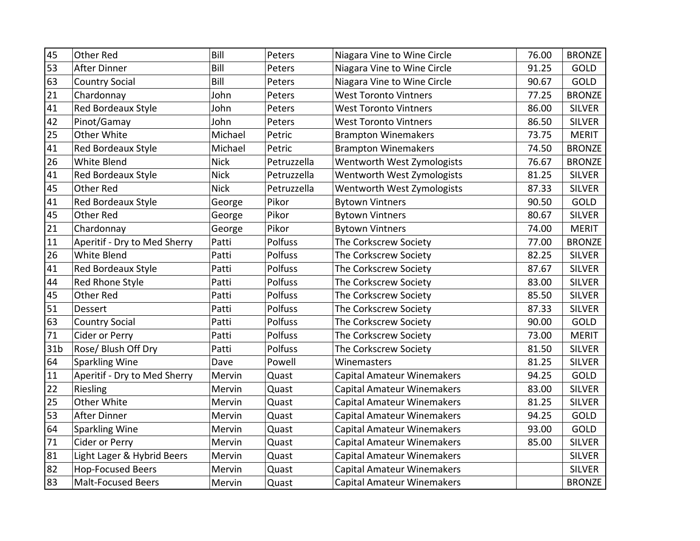| 45              | <b>Other Red</b>             | Bill        | Peters      | Niagara Vine to Wine Circle       | 76.00 | <b>BRONZE</b> |
|-----------------|------------------------------|-------------|-------------|-----------------------------------|-------|---------------|
| 53              | <b>After Dinner</b>          | Bill        | Peters      | Niagara Vine to Wine Circle       | 91.25 | GOLD          |
| 63              | <b>Country Social</b>        | Bill        | Peters      | Niagara Vine to Wine Circle       | 90.67 | GOLD          |
| 21              | Chardonnay                   | John        | Peters      | <b>West Toronto Vintners</b>      | 77.25 | <b>BRONZE</b> |
| 41              | Red Bordeaux Style           | John        | Peters      | <b>West Toronto Vintners</b>      | 86.00 | <b>SILVER</b> |
| 42              | Pinot/Gamay                  | John        | Peters      | <b>West Toronto Vintners</b>      | 86.50 | <b>SILVER</b> |
| 25              | Other White                  | Michael     | Petric      | <b>Brampton Winemakers</b>        | 73.75 | <b>MERIT</b>  |
| 41              | Red Bordeaux Style           | Michael     | Petric      | <b>Brampton Winemakers</b>        | 74.50 | <b>BRONZE</b> |
| 26              | White Blend                  | <b>Nick</b> | Petruzzella | Wentworth West Zymologists        | 76.67 | <b>BRONZE</b> |
| 41              | Red Bordeaux Style           | <b>Nick</b> | Petruzzella | Wentworth West Zymologists        | 81.25 | <b>SILVER</b> |
| 45              | <b>Other Red</b>             | <b>Nick</b> | Petruzzella | Wentworth West Zymologists        | 87.33 | <b>SILVER</b> |
| 41              | Red Bordeaux Style           | George      | Pikor       | <b>Bytown Vintners</b>            | 90.50 | GOLD          |
| 45              | <b>Other Red</b>             | George      | Pikor       | <b>Bytown Vintners</b>            | 80.67 | <b>SILVER</b> |
| 21              | Chardonnay                   | George      | Pikor       | <b>Bytown Vintners</b>            | 74.00 | <b>MERIT</b>  |
| 11              | Aperitif - Dry to Med Sherry | Patti       | Polfuss     | The Corkscrew Society             | 77.00 | <b>BRONZE</b> |
| 26              | White Blend                  | Patti       | Polfuss     | The Corkscrew Society             | 82.25 | <b>SILVER</b> |
| 41              | Red Bordeaux Style           | Patti       | Polfuss     | The Corkscrew Society             | 87.67 | <b>SILVER</b> |
| 44              | Red Rhone Style              | Patti       | Polfuss     | The Corkscrew Society             | 83.00 | <b>SILVER</b> |
| 45              | <b>Other Red</b>             | Patti       | Polfuss     | The Corkscrew Society             | 85.50 | <b>SILVER</b> |
| 51              | Dessert                      | Patti       | Polfuss     | The Corkscrew Society             | 87.33 | <b>SILVER</b> |
| 63              | <b>Country Social</b>        | Patti       | Polfuss     | The Corkscrew Society             | 90.00 | GOLD          |
| $71\,$          | Cider or Perry               | Patti       | Polfuss     | The Corkscrew Society             | 73.00 | <b>MERIT</b>  |
| 31 <sub>b</sub> | Rose/ Blush Off Dry          | Patti       | Polfuss     | The Corkscrew Society             | 81.50 | <b>SILVER</b> |
| 64              | Sparkling Wine               | Dave        | Powell      | Winemasters                       | 81.25 | <b>SILVER</b> |
| 11              | Aperitif - Dry to Med Sherry | Mervin      | Quast       | <b>Capital Amateur Winemakers</b> | 94.25 | GOLD          |
| 22              | Riesling                     | Mervin      | Quast       | <b>Capital Amateur Winemakers</b> | 83.00 | <b>SILVER</b> |
| 25              | Other White                  | Mervin      | Quast       | <b>Capital Amateur Winemakers</b> | 81.25 | <b>SILVER</b> |
| 53              | <b>After Dinner</b>          | Mervin      | Quast       | <b>Capital Amateur Winemakers</b> | 94.25 | GOLD          |
| 64              | Sparkling Wine               | Mervin      | Quast       | <b>Capital Amateur Winemakers</b> | 93.00 | GOLD          |
| 71              | Cider or Perry               | Mervin      | Quast       | <b>Capital Amateur Winemakers</b> | 85.00 | <b>SILVER</b> |
| 81              | Light Lager & Hybrid Beers   | Mervin      | Quast       | <b>Capital Amateur Winemakers</b> |       | <b>SILVER</b> |
| 82              | <b>Hop-Focused Beers</b>     | Mervin      | Quast       | <b>Capital Amateur Winemakers</b> |       | <b>SILVER</b> |
| 83              | <b>Malt-Focused Beers</b>    | Mervin      | Quast       | <b>Capital Amateur Winemakers</b> |       | <b>BRONZE</b> |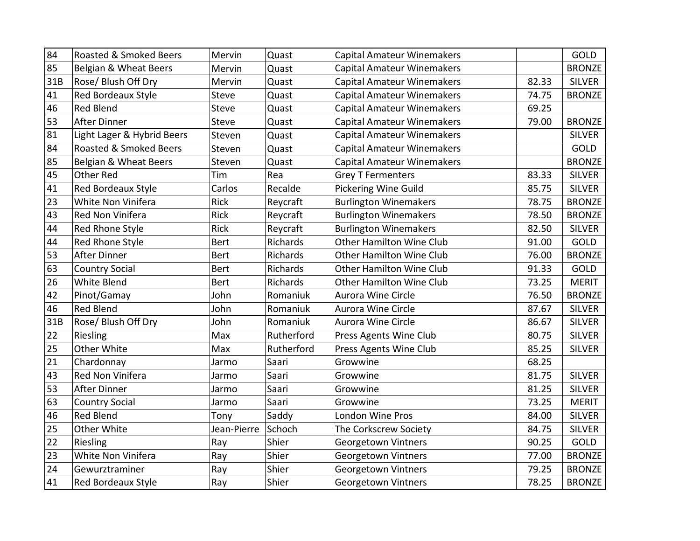| 84  | Roasted & Smoked Beers     | Mervin       | Quast      | <b>Capital Amateur Winemakers</b> |       | GOLD          |
|-----|----------------------------|--------------|------------|-----------------------------------|-------|---------------|
| 85  | Belgian & Wheat Beers      | Mervin       | Quast      | <b>Capital Amateur Winemakers</b> |       | <b>BRONZE</b> |
| 31B | <b>Rose/ Blush Off Dry</b> | Mervin       | Quast      | <b>Capital Amateur Winemakers</b> | 82.33 | <b>SILVER</b> |
| 41  | Red Bordeaux Style         | <b>Steve</b> | Quast      | <b>Capital Amateur Winemakers</b> | 74.75 | <b>BRONZE</b> |
| 46  | <b>Red Blend</b>           | <b>Steve</b> | Quast      | <b>Capital Amateur Winemakers</b> | 69.25 |               |
| 53  | After Dinner               | <b>Steve</b> | Quast      | <b>Capital Amateur Winemakers</b> | 79.00 | <b>BRONZE</b> |
| 81  | Light Lager & Hybrid Beers | Steven       | Quast      | <b>Capital Amateur Winemakers</b> |       | <b>SILVER</b> |
| 84  | Roasted & Smoked Beers     | Steven       | Quast      | <b>Capital Amateur Winemakers</b> |       | GOLD          |
| 85  | Belgian & Wheat Beers      | Steven       | Quast      | <b>Capital Amateur Winemakers</b> |       | <b>BRONZE</b> |
| 45  | <b>Other Red</b>           | Tim          | Rea        | <b>Grey T Fermenters</b>          | 83.33 | <b>SILVER</b> |
| 41  | Red Bordeaux Style         | Carlos       | Recalde    | <b>Pickering Wine Guild</b>       | 85.75 | <b>SILVER</b> |
| 23  | White Non Vinifera         | Rick         | Reycraft   | <b>Burlington Winemakers</b>      | 78.75 | <b>BRONZE</b> |
| 43  | <b>Red Non Vinifera</b>    | Rick         | Reycraft   | <b>Burlington Winemakers</b>      | 78.50 | <b>BRONZE</b> |
| 44  | Red Rhone Style            | <b>Rick</b>  | Reycraft   | <b>Burlington Winemakers</b>      | 82.50 | <b>SILVER</b> |
| 44  | Red Rhone Style            | <b>Bert</b>  | Richards   | <b>Other Hamilton Wine Club</b>   | 91.00 | GOLD          |
| 53  | After Dinner               | <b>Bert</b>  | Richards   | <b>Other Hamilton Wine Club</b>   | 76.00 | <b>BRONZE</b> |
| 63  | <b>Country Social</b>      | <b>Bert</b>  | Richards   | <b>Other Hamilton Wine Club</b>   | 91.33 | GOLD          |
| 26  | White Blend                | <b>Bert</b>  | Richards   | <b>Other Hamilton Wine Club</b>   | 73.25 | <b>MERIT</b>  |
| 42  | Pinot/Gamay                | John         | Romaniuk   | <b>Aurora Wine Circle</b>         | 76.50 | <b>BRONZE</b> |
| 46  | <b>Red Blend</b>           | John         | Romaniuk   | Aurora Wine Circle                | 87.67 | <b>SILVER</b> |
| 31B | Rose/ Blush Off Dry        | John         | Romaniuk   | <b>Aurora Wine Circle</b>         | 86.67 | <b>SILVER</b> |
| 22  | Riesling                   | Max          | Rutherford | Press Agents Wine Club            | 80.75 | <b>SILVER</b> |
| 25  | Other White                | Max          | Rutherford | Press Agents Wine Club            | 85.25 | <b>SILVER</b> |
| 21  | Chardonnay                 | Jarmo        | Saari      | Growwine                          | 68.25 |               |
| 43  | <b>Red Non Vinifera</b>    | Jarmo        | Saari      | Growwine                          | 81.75 | <b>SILVER</b> |
| 53  | After Dinner               | Jarmo        | Saari      | Growwine                          | 81.25 | <b>SILVER</b> |
| 63  | <b>Country Social</b>      | Jarmo        | Saari      | Growwine                          | 73.25 | <b>MERIT</b>  |
| 46  | <b>Red Blend</b>           | Tony         | Saddy      | London Wine Pros                  | 84.00 | <b>SILVER</b> |
| 25  | Other White                | Jean-Pierre  | Schoch     | The Corkscrew Society             | 84.75 | <b>SILVER</b> |
| 22  | Riesling                   | Ray          | Shier      | <b>Georgetown Vintners</b>        | 90.25 | GOLD          |
| 23  | White Non Vinifera         | Ray          | Shier      | Georgetown Vintners               | 77.00 | <b>BRONZE</b> |
| 24  | Gewurztraminer             | Ray          | Shier      | Georgetown Vintners               | 79.25 | <b>BRONZE</b> |
| 41  | Red Bordeaux Style         | Ray          | Shier      | <b>Georgetown Vintners</b>        | 78.25 | <b>BRONZE</b> |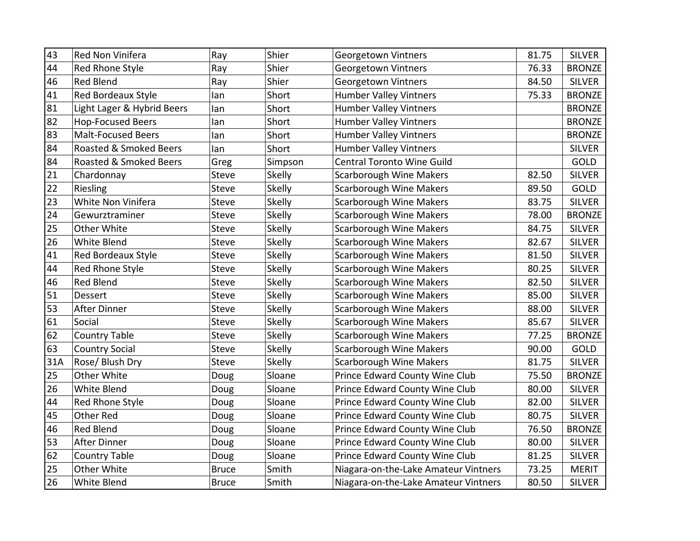| 43  | Red Non Vinifera           | Ray          | Shier         | <b>Georgetown Vintners</b>           | 81.75 | <b>SILVER</b> |
|-----|----------------------------|--------------|---------------|--------------------------------------|-------|---------------|
| 44  | Red Rhone Style            | Ray          | Shier         | <b>Georgetown Vintners</b>           | 76.33 | <b>BRONZE</b> |
| 46  | <b>Red Blend</b>           | Ray          | Shier         | <b>Georgetown Vintners</b>           | 84.50 | <b>SILVER</b> |
| 41  | Red Bordeaux Style         | lan          | Short         | <b>Humber Valley Vintners</b>        | 75.33 | <b>BRONZE</b> |
| 81  | Light Lager & Hybrid Beers | lan          | Short         | <b>Humber Valley Vintners</b>        |       | <b>BRONZE</b> |
| 82  | <b>Hop-Focused Beers</b>   | lan          | Short         | <b>Humber Valley Vintners</b>        |       | <b>BRONZE</b> |
| 83  | <b>Malt-Focused Beers</b>  | lan          | Short         | <b>Humber Valley Vintners</b>        |       | <b>BRONZE</b> |
| 84  | Roasted & Smoked Beers     | lan          | Short         | <b>Humber Valley Vintners</b>        |       | <b>SILVER</b> |
| 84  | Roasted & Smoked Beers     | Greg         | Simpson       | <b>Central Toronto Wine Guild</b>    |       | GOLD          |
| 21  | Chardonnay                 | <b>Steve</b> | Skelly        | <b>Scarborough Wine Makers</b>       | 82.50 | <b>SILVER</b> |
| 22  | Riesling                   | Steve        | Skelly        | <b>Scarborough Wine Makers</b>       | 89.50 | GOLD          |
| 23  | White Non Vinifera         | <b>Steve</b> | Skelly        | <b>Scarborough Wine Makers</b>       | 83.75 | <b>SILVER</b> |
| 24  | Gewurztraminer             | <b>Steve</b> | Skelly        | <b>Scarborough Wine Makers</b>       | 78.00 | <b>BRONZE</b> |
| 25  | Other White                | <b>Steve</b> | Skelly        | <b>Scarborough Wine Makers</b>       | 84.75 | <b>SILVER</b> |
| 26  | White Blend                | <b>Steve</b> | Skelly        | <b>Scarborough Wine Makers</b>       | 82.67 | <b>SILVER</b> |
| 41  | Red Bordeaux Style         | <b>Steve</b> | <b>Skelly</b> | <b>Scarborough Wine Makers</b>       | 81.50 | <b>SILVER</b> |
| 44  | Red Rhone Style            | <b>Steve</b> | <b>Skelly</b> | <b>Scarborough Wine Makers</b>       | 80.25 | <b>SILVER</b> |
| 46  | <b>Red Blend</b>           | Steve        | Skelly        | <b>Scarborough Wine Makers</b>       | 82.50 | <b>SILVER</b> |
| 51  | Dessert                    | Steve        | <b>Skelly</b> | <b>Scarborough Wine Makers</b>       | 85.00 | <b>SILVER</b> |
| 53  | <b>After Dinner</b>        | Steve        | Skelly        | <b>Scarborough Wine Makers</b>       | 88.00 | <b>SILVER</b> |
| 61  | Social                     | <b>Steve</b> | Skelly        | <b>Scarborough Wine Makers</b>       | 85.67 | <b>SILVER</b> |
| 62  | <b>Country Table</b>       | <b>Steve</b> | Skelly        | <b>Scarborough Wine Makers</b>       | 77.25 | <b>BRONZE</b> |
| 63  | <b>Country Social</b>      | <b>Steve</b> | Skelly        | <b>Scarborough Wine Makers</b>       | 90.00 | GOLD          |
| 31A | Rose/ Blush Dry            | <b>Steve</b> | <b>Skelly</b> | Scarborough Wine Makers              | 81.75 | <b>SILVER</b> |
| 25  | Other White                | Doug         | Sloane        | Prince Edward County Wine Club       | 75.50 | <b>BRONZE</b> |
| 26  | White Blend                | Doug         | Sloane        | Prince Edward County Wine Club       | 80.00 | <b>SILVER</b> |
| 44  | Red Rhone Style            | Doug         | Sloane        | Prince Edward County Wine Club       | 82.00 | <b>SILVER</b> |
| 45  | <b>Other Red</b>           | Doug         | Sloane        | Prince Edward County Wine Club       | 80.75 | <b>SILVER</b> |
| 46  | <b>Red Blend</b>           | Doug         | Sloane        | Prince Edward County Wine Club       | 76.50 | <b>BRONZE</b> |
| 53  | <b>After Dinner</b>        | Doug         | Sloane        | Prince Edward County Wine Club       | 80.00 | <b>SILVER</b> |
| 62  | <b>Country Table</b>       | Doug         | Sloane        | Prince Edward County Wine Club       | 81.25 | <b>SILVER</b> |
| 25  | Other White                | <b>Bruce</b> | Smith         | Niagara-on-the-Lake Amateur Vintners | 73.25 | <b>MERIT</b>  |
| 26  | White Blend                | <b>Bruce</b> | Smith         | Niagara-on-the-Lake Amateur Vintners | 80.50 | <b>SILVER</b> |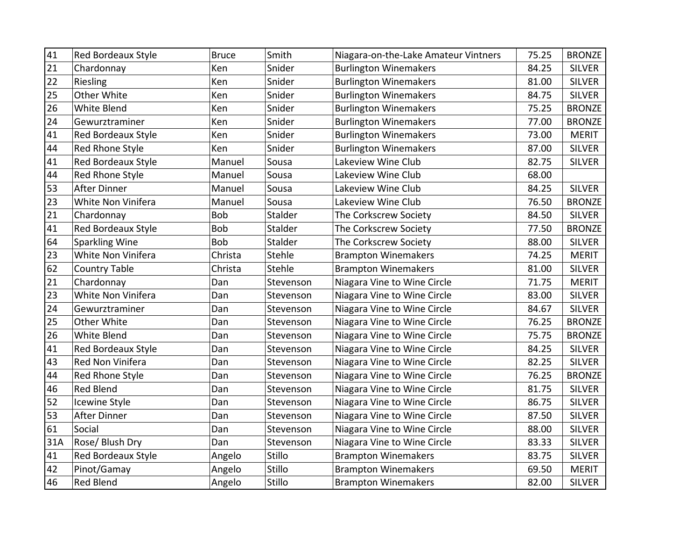| 41  | <b>Red Bordeaux Style</b> | <b>Bruce</b> | Smith     | Niagara-on-the-Lake Amateur Vintners | 75.25 | <b>BRONZE</b> |
|-----|---------------------------|--------------|-----------|--------------------------------------|-------|---------------|
|     |                           |              |           |                                      |       |               |
| 21  | Chardonnay                | Ken          | Snider    | <b>Burlington Winemakers</b>         | 84.25 | <b>SILVER</b> |
| 22  | Riesling                  | Ken          | Snider    | <b>Burlington Winemakers</b>         | 81.00 | <b>SILVER</b> |
| 25  | Other White               | Ken          | Snider    | <b>Burlington Winemakers</b>         | 84.75 | <b>SILVER</b> |
| 26  | White Blend               | Ken          | Snider    | <b>Burlington Winemakers</b>         | 75.25 | <b>BRONZE</b> |
| 24  | Gewurztraminer            | Ken          | Snider    | <b>Burlington Winemakers</b>         | 77.00 | <b>BRONZE</b> |
| 41  | <b>Red Bordeaux Style</b> | Ken          | Snider    | <b>Burlington Winemakers</b>         | 73.00 | <b>MERIT</b>  |
| 44  | Red Rhone Style           | Ken          | Snider    | <b>Burlington Winemakers</b>         | 87.00 | <b>SILVER</b> |
| 41  | Red Bordeaux Style        | Manuel       | Sousa     | Lakeview Wine Club                   | 82.75 | <b>SILVER</b> |
| 44  | Red Rhone Style           | Manuel       | Sousa     | Lakeview Wine Club                   | 68.00 |               |
| 53  | <b>After Dinner</b>       | Manuel       | Sousa     | Lakeview Wine Club                   | 84.25 | <b>SILVER</b> |
| 23  | White Non Vinifera        | Manuel       | Sousa     | Lakeview Wine Club                   | 76.50 | <b>BRONZE</b> |
| 21  | Chardonnay                | <b>Bob</b>   | Stalder   | The Corkscrew Society                | 84.50 | <b>SILVER</b> |
| 41  | Red Bordeaux Style        | Bob          | Stalder   | The Corkscrew Society                | 77.50 | <b>BRONZE</b> |
| 64  | <b>Sparkling Wine</b>     | Bob          | Stalder   | The Corkscrew Society                | 88.00 | <b>SILVER</b> |
| 23  | White Non Vinifera        | Christa      | Stehle    | <b>Brampton Winemakers</b>           | 74.25 | <b>MERIT</b>  |
| 62  | <b>Country Table</b>      | Christa      | Stehle    | <b>Brampton Winemakers</b>           | 81.00 | <b>SILVER</b> |
| 21  | Chardonnay                | Dan          | Stevenson | Niagara Vine to Wine Circle          | 71.75 | <b>MERIT</b>  |
| 23  | White Non Vinifera        | Dan          | Stevenson | Niagara Vine to Wine Circle          | 83.00 | <b>SILVER</b> |
| 24  | Gewurztraminer            | Dan          | Stevenson | Niagara Vine to Wine Circle          | 84.67 | <b>SILVER</b> |
| 25  | Other White               | Dan          | Stevenson | Niagara Vine to Wine Circle          | 76.25 | <b>BRONZE</b> |
| 26  | White Blend               | Dan          | Stevenson | Niagara Vine to Wine Circle          | 75.75 | <b>BRONZE</b> |
| 41  | Red Bordeaux Style        | Dan          | Stevenson | Niagara Vine to Wine Circle          | 84.25 | <b>SILVER</b> |
| 43  | Red Non Vinifera          | Dan          | Stevenson | Niagara Vine to Wine Circle          | 82.25 | <b>SILVER</b> |
| 44  | Red Rhone Style           | Dan          | Stevenson | Niagara Vine to Wine Circle          | 76.25 | <b>BRONZE</b> |
| 46  | <b>Red Blend</b>          | Dan          | Stevenson | Niagara Vine to Wine Circle          | 81.75 | <b>SILVER</b> |
| 52  | Icewine Style             | Dan          | Stevenson | Niagara Vine to Wine Circle          | 86.75 | <b>SILVER</b> |
| 53  | After Dinner              | Dan          | Stevenson | Niagara Vine to Wine Circle          | 87.50 | <b>SILVER</b> |
| 61  | Social                    | Dan          | Stevenson | Niagara Vine to Wine Circle          | 88.00 | <b>SILVER</b> |
| 31A | Rose/ Blush Dry           | Dan          | Stevenson | Niagara Vine to Wine Circle          | 83.33 | <b>SILVER</b> |
| 41  | Red Bordeaux Style        | Angelo       | Stillo    | <b>Brampton Winemakers</b>           | 83.75 | <b>SILVER</b> |
| 42  | Pinot/Gamay               | Angelo       | Stillo    | <b>Brampton Winemakers</b>           | 69.50 | <b>MERIT</b>  |
| 46  | Red Blend                 | Angelo       | Stillo    | <b>Brampton Winemakers</b>           | 82.00 | <b>SILVER</b> |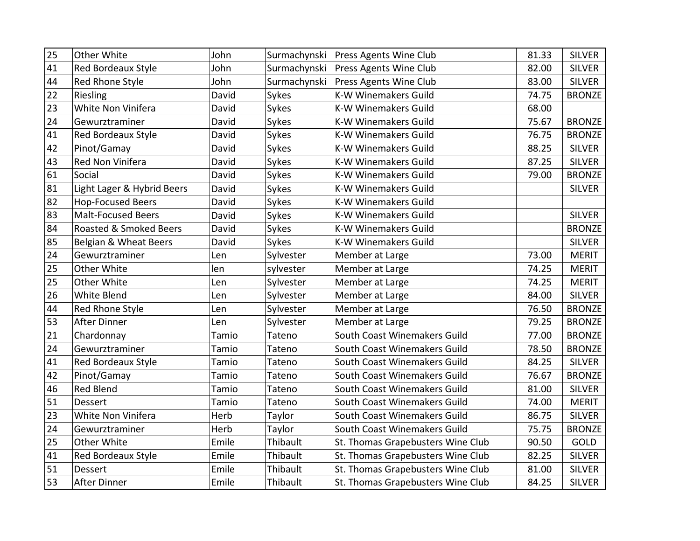| 25 | Other White                | John  | Surmachynski | Press Agents Wine Club            | 81.33 | <b>SILVER</b> |
|----|----------------------------|-------|--------------|-----------------------------------|-------|---------------|
| 41 | Red Bordeaux Style         | John  | Surmachynski | Press Agents Wine Club            | 82.00 | <b>SILVER</b> |
| 44 | Red Rhone Style            | John  | Surmachynski | Press Agents Wine Club            | 83.00 | <b>SILVER</b> |
| 22 | Riesling                   | David | Sykes        | <b>K-W Winemakers Guild</b>       | 74.75 | <b>BRONZE</b> |
| 23 | White Non Vinifera         | David | Sykes        | K-W Winemakers Guild              | 68.00 |               |
| 24 | Gewurztraminer             | David | Sykes        | <b>K-W Winemakers Guild</b>       | 75.67 | <b>BRONZE</b> |
| 41 | Red Bordeaux Style         | David | Sykes        | <b>K-W Winemakers Guild</b>       | 76.75 | <b>BRONZE</b> |
| 42 | Pinot/Gamay                | David | Sykes        | <b>K-W Winemakers Guild</b>       | 88.25 | <b>SILVER</b> |
| 43 | Red Non Vinifera           | David | Sykes        | <b>K-W Winemakers Guild</b>       | 87.25 | <b>SILVER</b> |
| 61 | Social                     | David | Sykes        | <b>K-W Winemakers Guild</b>       | 79.00 | <b>BRONZE</b> |
| 81 | Light Lager & Hybrid Beers | David | Sykes        | <b>K-W Winemakers Guild</b>       |       | <b>SILVER</b> |
| 82 | <b>Hop-Focused Beers</b>   | David | Sykes        | <b>K-W Winemakers Guild</b>       |       |               |
| 83 | <b>Malt-Focused Beers</b>  | David | Sykes        | <b>K-W Winemakers Guild</b>       |       | <b>SILVER</b> |
| 84 | Roasted & Smoked Beers     | David | Sykes        | <b>K-W Winemakers Guild</b>       |       | <b>BRONZE</b> |
| 85 | Belgian & Wheat Beers      | David | Sykes        | <b>K-W Winemakers Guild</b>       |       | <b>SILVER</b> |
| 24 | Gewurztraminer             | Len   | Sylvester    | Member at Large                   | 73.00 | <b>MERIT</b>  |
| 25 | Other White                | len   | sylvester    | Member at Large                   | 74.25 | <b>MERIT</b>  |
| 25 | Other White                | Len   | Sylvester    | Member at Large                   | 74.25 | <b>MERIT</b>  |
| 26 | White Blend                | Len   | Sylvester    | Member at Large                   | 84.00 | <b>SILVER</b> |
| 44 | Red Rhone Style            | Len   | Sylvester    | Member at Large                   | 76.50 | <b>BRONZE</b> |
| 53 | After Dinner               | Len   | Sylvester    | Member at Large                   | 79.25 | <b>BRONZE</b> |
| 21 | Chardonnay                 | Tamio | Tateno       | South Coast Winemakers Guild      | 77.00 | <b>BRONZE</b> |
| 24 | Gewurztraminer             | Tamio | Tateno       | South Coast Winemakers Guild      | 78.50 | <b>BRONZE</b> |
| 41 | Red Bordeaux Style         | Tamio | Tateno       | South Coast Winemakers Guild      | 84.25 | <b>SILVER</b> |
| 42 | Pinot/Gamay                | Tamio | Tateno       | South Coast Winemakers Guild      | 76.67 | <b>BRONZE</b> |
| 46 | <b>Red Blend</b>           | Tamio | Tateno       | South Coast Winemakers Guild      | 81.00 | <b>SILVER</b> |
| 51 | <b>Dessert</b>             | Tamio | Tateno       | South Coast Winemakers Guild      | 74.00 | <b>MERIT</b>  |
| 23 | White Non Vinifera         | Herb  | Taylor       | South Coast Winemakers Guild      | 86.75 | <b>SILVER</b> |
| 24 | Gewurztraminer             | Herb  | Taylor       | South Coast Winemakers Guild      | 75.75 | <b>BRONZE</b> |
| 25 | Other White                | Emile | Thibault     | St. Thomas Grapebusters Wine Club | 90.50 | GOLD          |
| 41 | Red Bordeaux Style         | Emile | Thibault     | St. Thomas Grapebusters Wine Club | 82.25 | <b>SILVER</b> |
| 51 | Dessert                    | Emile | Thibault     | St. Thomas Grapebusters Wine Club | 81.00 | <b>SILVER</b> |
| 53 | <b>After Dinner</b>        | Emile | Thibault     | St. Thomas Grapebusters Wine Club | 84.25 | <b>SILVER</b> |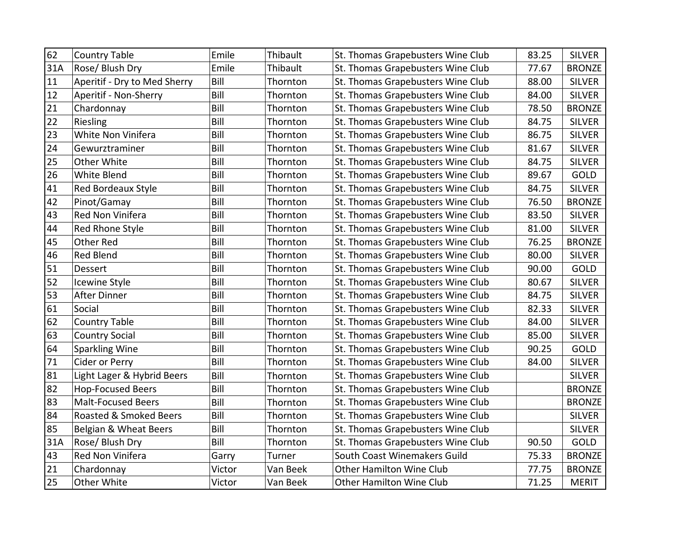| 62     | <b>Country Table</b>         | Emile  | Thibault | St. Thomas Grapebusters Wine Club | 83.25 | <b>SILVER</b> |
|--------|------------------------------|--------|----------|-----------------------------------|-------|---------------|
| 31A    | Rose/ Blush Dry              | Emile  | Thibault | St. Thomas Grapebusters Wine Club | 77.67 | <b>BRONZE</b> |
| $11\,$ | Aperitif - Dry to Med Sherry | Bill   | Thornton | St. Thomas Grapebusters Wine Club | 88.00 | <b>SILVER</b> |
| 12     | Aperitif - Non-Sherry        | Bill   | Thornton | St. Thomas Grapebusters Wine Club | 84.00 | <b>SILVER</b> |
| 21     | Chardonnay                   | Bill   | Thornton | St. Thomas Grapebusters Wine Club | 78.50 | <b>BRONZE</b> |
| 22     | Riesling                     | Bill   | Thornton | St. Thomas Grapebusters Wine Club | 84.75 | <b>SILVER</b> |
| 23     | White Non Vinifera           | Bill   | Thornton | St. Thomas Grapebusters Wine Club | 86.75 | <b>SILVER</b> |
| 24     | Gewurztraminer               | Bill   | Thornton | St. Thomas Grapebusters Wine Club | 81.67 | <b>SILVER</b> |
| 25     | Other White                  | Bill   | Thornton | St. Thomas Grapebusters Wine Club | 84.75 | <b>SILVER</b> |
| 26     | White Blend                  | Bill   | Thornton | St. Thomas Grapebusters Wine Club | 89.67 | GOLD          |
| 41     | Red Bordeaux Style           | Bill   | Thornton | St. Thomas Grapebusters Wine Club | 84.75 | <b>SILVER</b> |
| 42     | Pinot/Gamay                  | Bill   | Thornton | St. Thomas Grapebusters Wine Club | 76.50 | <b>BRONZE</b> |
| 43     | Red Non Vinifera             | Bill   | Thornton | St. Thomas Grapebusters Wine Club | 83.50 | <b>SILVER</b> |
| 44     | Red Rhone Style              | Bill   | Thornton | St. Thomas Grapebusters Wine Club | 81.00 | <b>SILVER</b> |
| 45     | <b>Other Red</b>             | Bill   | Thornton | St. Thomas Grapebusters Wine Club | 76.25 | <b>BRONZE</b> |
| 46     | <b>Red Blend</b>             | Bill   | Thornton | St. Thomas Grapebusters Wine Club | 80.00 | <b>SILVER</b> |
| 51     | Dessert                      | Bill   | Thornton | St. Thomas Grapebusters Wine Club | 90.00 | <b>GOLD</b>   |
| 52     | <b>Icewine Style</b>         | Bill   | Thornton | St. Thomas Grapebusters Wine Club | 80.67 | <b>SILVER</b> |
| 53     | <b>After Dinner</b>          | Bill   | Thornton | St. Thomas Grapebusters Wine Club | 84.75 | <b>SILVER</b> |
| 61     | Social                       | Bill   | Thornton | St. Thomas Grapebusters Wine Club | 82.33 | <b>SILVER</b> |
| 62     | <b>Country Table</b>         | Bill   | Thornton | St. Thomas Grapebusters Wine Club | 84.00 | <b>SILVER</b> |
| 63     | <b>Country Social</b>        | Bill   | Thornton | St. Thomas Grapebusters Wine Club | 85.00 | <b>SILVER</b> |
| 64     | <b>Sparkling Wine</b>        | Bill   | Thornton | St. Thomas Grapebusters Wine Club | 90.25 | GOLD          |
| 71     | Cider or Perry               | Bill   | Thornton | St. Thomas Grapebusters Wine Club | 84.00 | <b>SILVER</b> |
| 81     | Light Lager & Hybrid Beers   | Bill   | Thornton | St. Thomas Grapebusters Wine Club |       | <b>SILVER</b> |
| 82     | <b>Hop-Focused Beers</b>     | Bill   | Thornton | St. Thomas Grapebusters Wine Club |       | <b>BRONZE</b> |
| 83     | <b>Malt-Focused Beers</b>    | Bill   | Thornton | St. Thomas Grapebusters Wine Club |       | <b>BRONZE</b> |
| 84     | Roasted & Smoked Beers       | Bill   | Thornton | St. Thomas Grapebusters Wine Club |       | <b>SILVER</b> |
| 85     | Belgian & Wheat Beers        | Bill   | Thornton | St. Thomas Grapebusters Wine Club |       | <b>SILVER</b> |
| 31A    | Rose/ Blush Dry              | Bill   | Thornton | St. Thomas Grapebusters Wine Club | 90.50 | GOLD          |
| 43     | Red Non Vinifera             | Garry  | Turner   | South Coast Winemakers Guild      | 75.33 | <b>BRONZE</b> |
| 21     | Chardonnay                   | Victor | Van Beek | <b>Other Hamilton Wine Club</b>   | 77.75 | <b>BRONZE</b> |
| 25     | <b>Other White</b>           | Victor | Van Beek | <b>Other Hamilton Wine Club</b>   | 71.25 | <b>MERIT</b>  |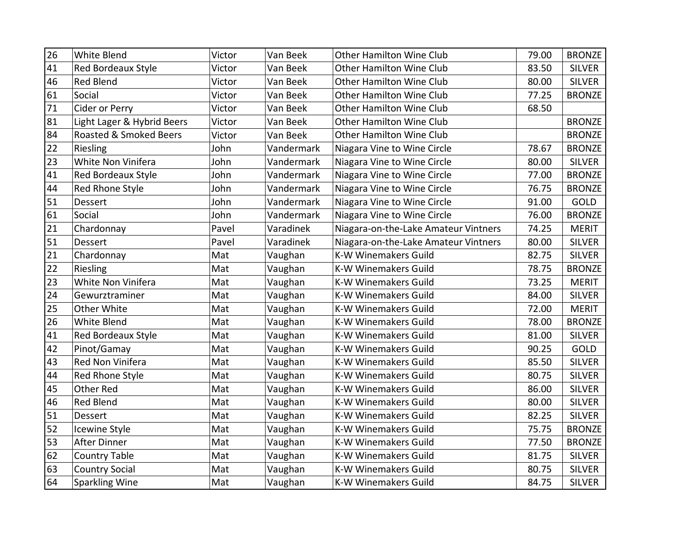| 26 | White Blend                | Victor | Van Beek   | <b>Other Hamilton Wine Club</b>      | 79.00 | <b>BRONZE</b> |
|----|----------------------------|--------|------------|--------------------------------------|-------|---------------|
| 41 | <b>Red Bordeaux Style</b>  | Victor | Van Beek   | <b>Other Hamilton Wine Club</b>      | 83.50 | <b>SILVER</b> |
| 46 | <b>Red Blend</b>           | Victor | Van Beek   | <b>Other Hamilton Wine Club</b>      | 80.00 | <b>SILVER</b> |
| 61 | Social                     | Victor | Van Beek   | <b>Other Hamilton Wine Club</b>      | 77.25 | <b>BRONZE</b> |
| 71 | Cider or Perry             | Victor | Van Beek   | <b>Other Hamilton Wine Club</b>      | 68.50 |               |
| 81 | Light Lager & Hybrid Beers | Victor | Van Beek   | <b>Other Hamilton Wine Club</b>      |       | <b>BRONZE</b> |
| 84 | Roasted & Smoked Beers     | Victor | Van Beek   | <b>Other Hamilton Wine Club</b>      |       | <b>BRONZE</b> |
| 22 | Riesling                   | John   | Vandermark | Niagara Vine to Wine Circle          | 78.67 | <b>BRONZE</b> |
| 23 | White Non Vinifera         | John   | Vandermark | Niagara Vine to Wine Circle          | 80.00 | <b>SILVER</b> |
| 41 | Red Bordeaux Style         | John   | Vandermark | Niagara Vine to Wine Circle          | 77.00 | <b>BRONZE</b> |
| 44 | Red Rhone Style            | John   | Vandermark | Niagara Vine to Wine Circle          | 76.75 | <b>BRONZE</b> |
| 51 | <b>Dessert</b>             | John   | Vandermark | Niagara Vine to Wine Circle          | 91.00 | GOLD          |
| 61 | Social                     | John   | Vandermark | Niagara Vine to Wine Circle          | 76.00 | <b>BRONZE</b> |
| 21 | Chardonnay                 | Pavel  | Varadinek  | Niagara-on-the-Lake Amateur Vintners | 74.25 | <b>MERIT</b>  |
| 51 | Dessert                    | Pavel  | Varadinek  | Niagara-on-the-Lake Amateur Vintners | 80.00 | <b>SILVER</b> |
| 21 | Chardonnay                 | Mat    | Vaughan    | <b>K-W Winemakers Guild</b>          | 82.75 | <b>SILVER</b> |
| 22 | Riesling                   | Mat    | Vaughan    | K-W Winemakers Guild                 | 78.75 | <b>BRONZE</b> |
| 23 | White Non Vinifera         | Mat    | Vaughan    | K-W Winemakers Guild                 | 73.25 | <b>MERIT</b>  |
| 24 | Gewurztraminer             | Mat    | Vaughan    | <b>K-W Winemakers Guild</b>          | 84.00 | <b>SILVER</b> |
| 25 | <b>Other White</b>         | Mat    | Vaughan    | <b>K-W Winemakers Guild</b>          | 72.00 | <b>MERIT</b>  |
| 26 | <b>White Blend</b>         | Mat    | Vaughan    | <b>K-W Winemakers Guild</b>          | 78.00 | <b>BRONZE</b> |
| 41 | Red Bordeaux Style         | Mat    | Vaughan    | <b>K-W Winemakers Guild</b>          | 81.00 | <b>SILVER</b> |
| 42 | Pinot/Gamay                | Mat    | Vaughan    | <b>K-W Winemakers Guild</b>          | 90.25 | GOLD          |
| 43 | Red Non Vinifera           | Mat    | Vaughan    | K-W Winemakers Guild                 | 85.50 | <b>SILVER</b> |
| 44 | Red Rhone Style            | Mat    | Vaughan    | K-W Winemakers Guild                 | 80.75 | <b>SILVER</b> |
| 45 | <b>Other Red</b>           | Mat    | Vaughan    | K-W Winemakers Guild                 | 86.00 | <b>SILVER</b> |
| 46 | Red Blend                  | Mat    | Vaughan    | <b>K-W Winemakers Guild</b>          | 80.00 | <b>SILVER</b> |
| 51 | Dessert                    | Mat    | Vaughan    | <b>K-W Winemakers Guild</b>          | 82.25 | <b>SILVER</b> |
| 52 | Icewine Style              | Mat    | Vaughan    | <b>K-W Winemakers Guild</b>          | 75.75 | <b>BRONZE</b> |
| 53 | After Dinner               | Mat    | Vaughan    | <b>K-W Winemakers Guild</b>          | 77.50 | <b>BRONZE</b> |
| 62 | <b>Country Table</b>       | Mat    | Vaughan    | <b>K-W Winemakers Guild</b>          | 81.75 | <b>SILVER</b> |
| 63 | <b>Country Social</b>      | Mat    | Vaughan    | K-W Winemakers Guild                 | 80.75 | <b>SILVER</b> |
| 64 | Sparkling Wine             | Mat    | Vaughan    | K-W Winemakers Guild                 | 84.75 | <b>SILVER</b> |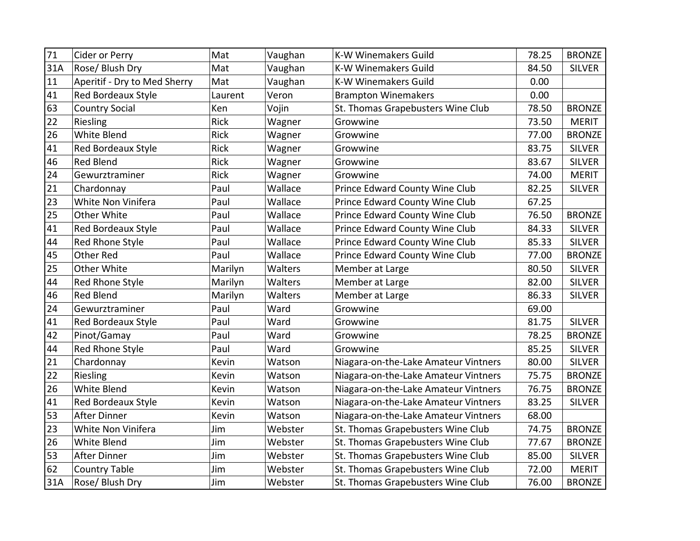| 71  | Cider or Perry               | Mat         | Vaughan | <b>K-W Winemakers Guild</b>          | 78.25 | <b>BRONZE</b> |
|-----|------------------------------|-------------|---------|--------------------------------------|-------|---------------|
| 31A | Rose/ Blush Dry              | Mat         | Vaughan | <b>K-W Winemakers Guild</b>          | 84.50 | <b>SILVER</b> |
| 11  | Aperitif - Dry to Med Sherry | Mat         | Vaughan | <b>K-W Winemakers Guild</b>          | 0.00  |               |
| 41  | Red Bordeaux Style           | Laurent     | Veron   | <b>Brampton Winemakers</b>           | 0.00  |               |
| 63  | <b>Country Social</b>        | Ken         | Vojin   | St. Thomas Grapebusters Wine Club    | 78.50 | <b>BRONZE</b> |
| 22  | Riesling                     | Rick        | Wagner  | Growwine                             | 73.50 | <b>MERIT</b>  |
| 26  | White Blend                  | <b>Rick</b> | Wagner  | Growwine                             | 77.00 | <b>BRONZE</b> |
| 41  | Red Bordeaux Style           | Rick        | Wagner  | Growwine                             | 83.75 | <b>SILVER</b> |
| 46  | <b>Red Blend</b>             | <b>Rick</b> | Wagner  | Growwine                             | 83.67 | <b>SILVER</b> |
| 24  | Gewurztraminer               | <b>Rick</b> | Wagner  | Growwine                             | 74.00 | <b>MERIT</b>  |
| 21  | Chardonnay                   | Paul        | Wallace | Prince Edward County Wine Club       | 82.25 | <b>SILVER</b> |
| 23  | White Non Vinifera           | Paul        | Wallace | Prince Edward County Wine Club       | 67.25 |               |
| 25  | Other White                  | Paul        | Wallace | Prince Edward County Wine Club       | 76.50 | <b>BRONZE</b> |
| 41  | Red Bordeaux Style           | Paul        | Wallace | Prince Edward County Wine Club       | 84.33 | <b>SILVER</b> |
| 44  | Red Rhone Style              | Paul        | Wallace | Prince Edward County Wine Club       | 85.33 | <b>SILVER</b> |
| 45  | Other Red                    | Paul        | Wallace | Prince Edward County Wine Club       | 77.00 | <b>BRONZE</b> |
| 25  | Other White                  | Marilyn     | Walters | Member at Large                      | 80.50 | <b>SILVER</b> |
| 44  | Red Rhone Style              | Marilyn     | Walters | Member at Large                      | 82.00 | <b>SILVER</b> |
| 46  | <b>Red Blend</b>             | Marilyn     | Walters | Member at Large                      | 86.33 | <b>SILVER</b> |
| 24  | Gewurztraminer               | Paul        | Ward    | Growwine                             | 69.00 |               |
| 41  | Red Bordeaux Style           | Paul        | Ward    | Growwine                             | 81.75 | <b>SILVER</b> |
| 42  | Pinot/Gamay                  | Paul        | Ward    | Growwine                             | 78.25 | <b>BRONZE</b> |
| 44  | Red Rhone Style              | Paul        | Ward    | Growwine                             | 85.25 | <b>SILVER</b> |
| 21  | Chardonnay                   | Kevin       | Watson  | Niagara-on-the-Lake Amateur Vintners | 80.00 | <b>SILVER</b> |
| 22  | Riesling                     | Kevin       | Watson  | Niagara-on-the-Lake Amateur Vintners | 75.75 | <b>BRONZE</b> |
| 26  | <b>White Blend</b>           | Kevin       | Watson  | Niagara-on-the-Lake Amateur Vintners | 76.75 | <b>BRONZE</b> |
| 41  | Red Bordeaux Style           | Kevin       | Watson  | Niagara-on-the-Lake Amateur Vintners | 83.25 | <b>SILVER</b> |
| 53  | <b>After Dinner</b>          | Kevin       | Watson  | Niagara-on-the-Lake Amateur Vintners | 68.00 |               |
| 23  | White Non Vinifera           | Jim         | Webster | St. Thomas Grapebusters Wine Club    | 74.75 | <b>BRONZE</b> |
| 26  | <b>White Blend</b>           | Jim         | Webster | St. Thomas Grapebusters Wine Club    | 77.67 | <b>BRONZE</b> |
| 53  | <b>After Dinner</b>          | Jim         | Webster | St. Thomas Grapebusters Wine Club    | 85.00 | <b>SILVER</b> |
| 62  | <b>Country Table</b>         | Jim         | Webster | St. Thomas Grapebusters Wine Club    | 72.00 | <b>MERIT</b>  |
| 31A | Rose/ Blush Dry              | Jim         | Webster | St. Thomas Grapebusters Wine Club    | 76.00 | <b>BRONZE</b> |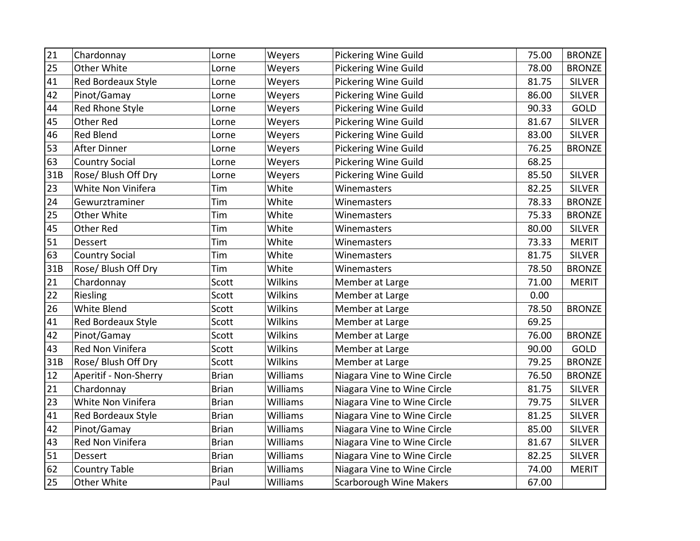| 21  | Chardonnay                | Lorne        | Weyers          | <b>Pickering Wine Guild</b>    | 75.00 | <b>BRONZE</b> |
|-----|---------------------------|--------------|-----------------|--------------------------------|-------|---------------|
| 25  | Other White               | Lorne        | Weyers          | <b>Pickering Wine Guild</b>    | 78.00 | <b>BRONZE</b> |
| 41  | Red Bordeaux Style        | Lorne        | Weyers          | <b>Pickering Wine Guild</b>    | 81.75 | <b>SILVER</b> |
| 42  | Pinot/Gamay               | Lorne        | Weyers          | <b>Pickering Wine Guild</b>    | 86.00 | <b>SILVER</b> |
| 44  | Red Rhone Style           | Lorne        | Weyers          | <b>Pickering Wine Guild</b>    | 90.33 | GOLD          |
| 45  | Other Red                 | Lorne        | Weyers          | <b>Pickering Wine Guild</b>    | 81.67 | <b>SILVER</b> |
| 46  | <b>Red Blend</b>          | Lorne        | Weyers          | <b>Pickering Wine Guild</b>    | 83.00 | <b>SILVER</b> |
| 53  | <b>After Dinner</b>       | Lorne        | Weyers          | <b>Pickering Wine Guild</b>    | 76.25 | <b>BRONZE</b> |
| 63  | <b>Country Social</b>     | Lorne        | Weyers          | <b>Pickering Wine Guild</b>    | 68.25 |               |
| 31B | Rose/ Blush Off Dry       | Lorne        | Weyers          | <b>Pickering Wine Guild</b>    | 85.50 | <b>SILVER</b> |
| 23  | White Non Vinifera        | Tim          | White           | Winemasters                    | 82.25 | <b>SILVER</b> |
| 24  | Gewurztraminer            | Tim          | White           | Winemasters                    | 78.33 | <b>BRONZE</b> |
| 25  | Other White               | Tim          | White           | Winemasters                    | 75.33 | <b>BRONZE</b> |
| 45  | <b>Other Red</b>          | Tim          | White           | Winemasters                    | 80.00 | <b>SILVER</b> |
| 51  | Dessert                   | Tim          | White           | Winemasters                    | 73.33 | <b>MERIT</b>  |
| 63  | <b>Country Social</b>     | Tim          | White           | Winemasters                    | 81.75 | <b>SILVER</b> |
| 31B | Rose/ Blush Off Dry       | Tim          | White           | Winemasters                    | 78.50 | <b>BRONZE</b> |
| 21  | Chardonnay                | Scott        | Wilkins         | Member at Large                | 71.00 | <b>MERIT</b>  |
| 22  | Riesling                  | Scott        | Wilkins         | Member at Large                | 0.00  |               |
| 26  | White Blend               | Scott        | <b>Wilkins</b>  | Member at Large                | 78.50 | <b>BRONZE</b> |
| 41  | Red Bordeaux Style        | Scott        | <b>Wilkins</b>  | Member at Large                | 69.25 |               |
| 42  | Pinot/Gamay               | Scott        | <b>Wilkins</b>  | Member at Large                | 76.00 | <b>BRONZE</b> |
| 43  | Red Non Vinifera          | Scott        | <b>Wilkins</b>  | Member at Large                | 90.00 | GOLD          |
| 31B | Rose/Blush Off Dry        | Scott        | <b>Wilkins</b>  | Member at Large                | 79.25 | <b>BRONZE</b> |
| 12  | Aperitif - Non-Sherry     | <b>Brian</b> | Williams        | Niagara Vine to Wine Circle    | 76.50 | <b>BRONZE</b> |
| 21  | Chardonnay                | <b>Brian</b> | Williams        | Niagara Vine to Wine Circle    | 81.75 | <b>SILVER</b> |
| 23  | White Non Vinifera        | <b>Brian</b> | <b>Williams</b> | Niagara Vine to Wine Circle    | 79.75 | <b>SILVER</b> |
| 41  | <b>Red Bordeaux Style</b> | <b>Brian</b> | <b>Williams</b> | Niagara Vine to Wine Circle    | 81.25 | <b>SILVER</b> |
| 42  | Pinot/Gamay               | <b>Brian</b> | Williams        | Niagara Vine to Wine Circle    | 85.00 | <b>SILVER</b> |
| 43  | Red Non Vinifera          | <b>Brian</b> | Williams        | Niagara Vine to Wine Circle    | 81.67 | <b>SILVER</b> |
| 51  | Dessert                   | <b>Brian</b> | Williams        | Niagara Vine to Wine Circle    | 82.25 | <b>SILVER</b> |
| 62  | <b>Country Table</b>      | <b>Brian</b> | Williams        | Niagara Vine to Wine Circle    | 74.00 | <b>MERIT</b>  |
| 25  | Other White               | Paul         | Williams        | <b>Scarborough Wine Makers</b> | 67.00 |               |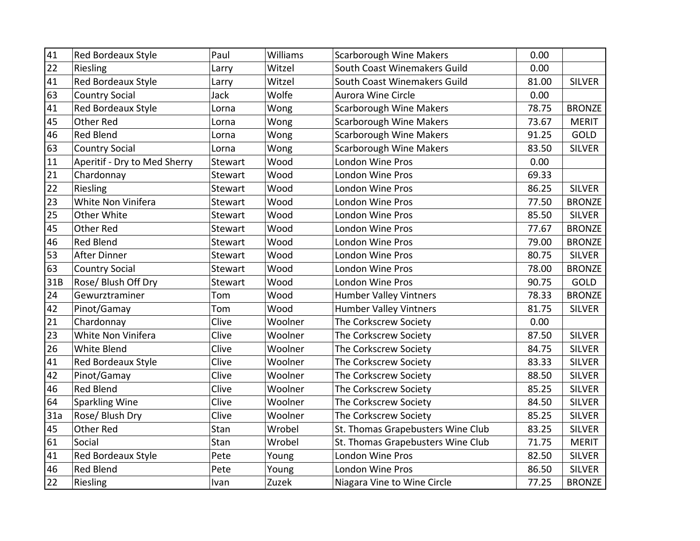| 41  | <b>Red Bordeaux Style</b>    | Paul    | Williams | <b>Scarborough Wine Makers</b>    | 0.00  |               |
|-----|------------------------------|---------|----------|-----------------------------------|-------|---------------|
| 22  | Riesling                     | Larry   | Witzel   | South Coast Winemakers Guild      | 0.00  |               |
| 41  | Red Bordeaux Style           | Larry   | Witzel   | South Coast Winemakers Guild      | 81.00 | <b>SILVER</b> |
| 63  | <b>Country Social</b>        | Jack    | Wolfe    | <b>Aurora Wine Circle</b>         | 0.00  |               |
| 41  | Red Bordeaux Style           | Lorna   | Wong     | <b>Scarborough Wine Makers</b>    | 78.75 | <b>BRONZE</b> |
| 45  | Other Red                    | Lorna   | Wong     | <b>Scarborough Wine Makers</b>    | 73.67 | <b>MERIT</b>  |
| 46  | <b>Red Blend</b>             | Lorna   | Wong     | <b>Scarborough Wine Makers</b>    | 91.25 | GOLD          |
| 63  | <b>Country Social</b>        | Lorna   | Wong     | <b>Scarborough Wine Makers</b>    | 83.50 | <b>SILVER</b> |
| 11  | Aperitif - Dry to Med Sherry | Stewart | Wood     | London Wine Pros                  | 0.00  |               |
| 21  | Chardonnay                   | Stewart | Wood     | <b>London Wine Pros</b>           | 69.33 |               |
| 22  | Riesling                     | Stewart | Wood     | London Wine Pros                  | 86.25 | <b>SILVER</b> |
| 23  | White Non Vinifera           | Stewart | Wood     | <b>London Wine Pros</b>           | 77.50 | <b>BRONZE</b> |
| 25  | Other White                  | Stewart | Wood     | London Wine Pros                  | 85.50 | <b>SILVER</b> |
| 45  | <b>Other Red</b>             | Stewart | Wood     | London Wine Pros                  | 77.67 | <b>BRONZE</b> |
| 46  | <b>Red Blend</b>             | Stewart | Wood     | <b>London Wine Pros</b>           | 79.00 | <b>BRONZE</b> |
| 53  | <b>After Dinner</b>          | Stewart | Wood     | <b>London Wine Pros</b>           | 80.75 | <b>SILVER</b> |
| 63  | <b>Country Social</b>        | Stewart | Wood     | <b>London Wine Pros</b>           | 78.00 | <b>BRONZE</b> |
| 31B | Rose/ Blush Off Dry          | Stewart | Wood     | London Wine Pros                  | 90.75 | GOLD          |
| 24  | Gewurztraminer               | Tom     | Wood     | <b>Humber Valley Vintners</b>     | 78.33 | <b>BRONZE</b> |
| 42  | Pinot/Gamay                  | Tom     | Wood     | <b>Humber Valley Vintners</b>     | 81.75 | <b>SILVER</b> |
| 21  | Chardonnay                   | Clive   | Woolner  | The Corkscrew Society             | 0.00  |               |
| 23  | White Non Vinifera           | Clive   | Woolner  | The Corkscrew Society             | 87.50 | <b>SILVER</b> |
| 26  | <b>White Blend</b>           | Clive   | Woolner  | The Corkscrew Society             | 84.75 | <b>SILVER</b> |
| 41  | Red Bordeaux Style           | Clive   | Woolner  | The Corkscrew Society             | 83.33 | <b>SILVER</b> |
| 42  | Pinot/Gamay                  | Clive   | Woolner  | The Corkscrew Society             | 88.50 | <b>SILVER</b> |
| 46  | <b>Red Blend</b>             | Clive   | Woolner  | The Corkscrew Society             | 85.25 | <b>SILVER</b> |
| 64  | <b>Sparkling Wine</b>        | Clive   | Woolner  | The Corkscrew Society             | 84.50 | <b>SILVER</b> |
| 31a | Rose/ Blush Dry              | Clive   | Woolner  | The Corkscrew Society             | 85.25 | <b>SILVER</b> |
| 45  | Other Red                    | Stan    | Wrobel   | St. Thomas Grapebusters Wine Club | 83.25 | <b>SILVER</b> |
| 61  | Social                       | Stan    | Wrobel   | St. Thomas Grapebusters Wine Club | 71.75 | <b>MERIT</b>  |
| 41  | Red Bordeaux Style           | Pete    | Young    | London Wine Pros                  | 82.50 | <b>SILVER</b> |
| 46  | <b>Red Blend</b>             | Pete    | Young    | London Wine Pros                  | 86.50 | <b>SILVER</b> |
| 22  | Riesling                     | Ivan    | Zuzek    | Niagara Vine to Wine Circle       | 77.25 | <b>BRONZE</b> |